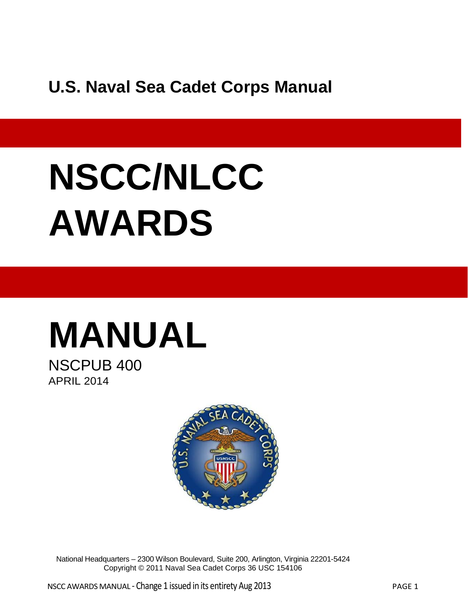**U.S. Naval Sea Cadet Corps Manual**

# **NSCC/NLCC AWARDS**

# **MANUAL**

NSCPUB 400 APRIL 2014



National Headquarters – 2300 Wilson Boulevard, Suite 200, Arlington, Virginia 22201-5424 Copyright © 2011 Naval Sea Cadet Corps 36 USC 154106

NSCC AWARDS MANUAL – Change 1 issued in its entirety Aug 2013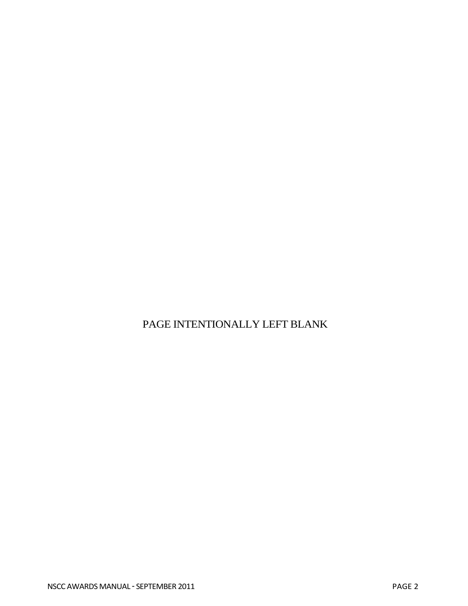PAGE INTENTIONALLY LEFT BLANK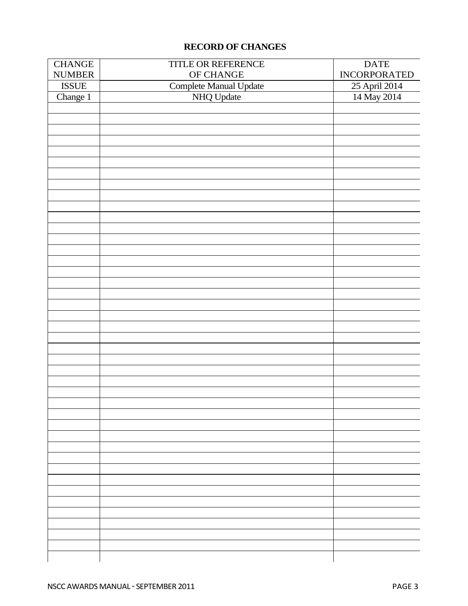### **RECORD OF CHANGES**

| <b>CHANGE</b> | TITLE OR REFERENCE                   | <b>DATE</b>                  |
|---------------|--------------------------------------|------------------------------|
| <b>NUMBER</b> | OF CHANGE                            | INCORPORATED                 |
| <b>ISSUE</b>  |                                      |                              |
| Change 1      | Complete Manual Update<br>NHQ Update | 25 April 2014<br>14 May 2014 |
|               |                                      |                              |
|               |                                      |                              |
|               |                                      |                              |
|               |                                      |                              |
|               |                                      |                              |
|               |                                      |                              |
|               |                                      |                              |
|               |                                      |                              |
|               |                                      |                              |
|               |                                      |                              |
|               |                                      |                              |
|               |                                      |                              |
|               |                                      |                              |
|               |                                      |                              |
|               |                                      |                              |
|               |                                      |                              |
|               |                                      |                              |
|               |                                      |                              |
|               |                                      |                              |
|               |                                      |                              |
|               |                                      |                              |
|               |                                      |                              |
|               |                                      |                              |
|               |                                      |                              |
|               |                                      |                              |
|               |                                      |                              |
|               |                                      |                              |
|               |                                      |                              |
|               |                                      |                              |
|               |                                      |                              |
|               |                                      |                              |
|               |                                      |                              |
|               |                                      |                              |
|               |                                      |                              |
|               |                                      |                              |
|               |                                      |                              |
|               |                                      |                              |
|               |                                      |                              |
|               |                                      |                              |
|               |                                      |                              |
|               |                                      |                              |
|               |                                      |                              |
|               |                                      |                              |
|               |                                      |                              |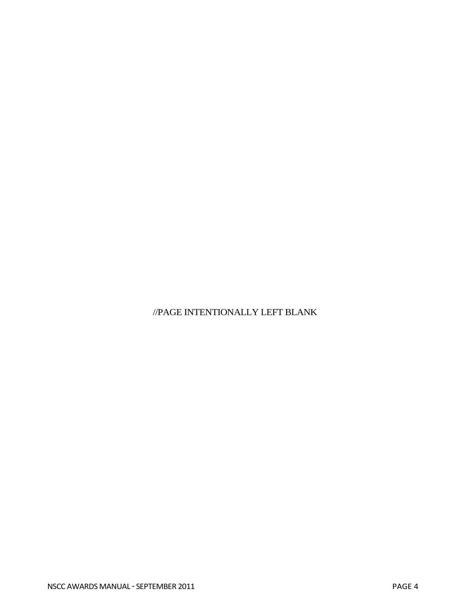//PAGE INTENTIONALLY LEFT BLANK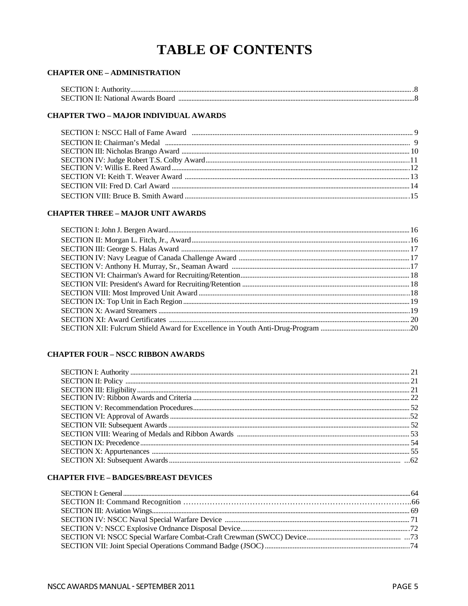# **TABLE OF CONTENTS**

#### **CHAPTER ONE - ADMINISTRATION**

| SECTION I: Authority              |  |
|-----------------------------------|--|
| SECTION II: National Awards Board |  |

#### **CHAPTER TWO - MAJOR INDIVIDUAL AWARDS**

#### **CHAPTER THREE - MAJOR UNIT AWARDS**

#### **CHAPTER FOUR - NSCC RIBBON AWARDS**

#### **CHAPTER FIVE - BADGES/BREAST DEVICES**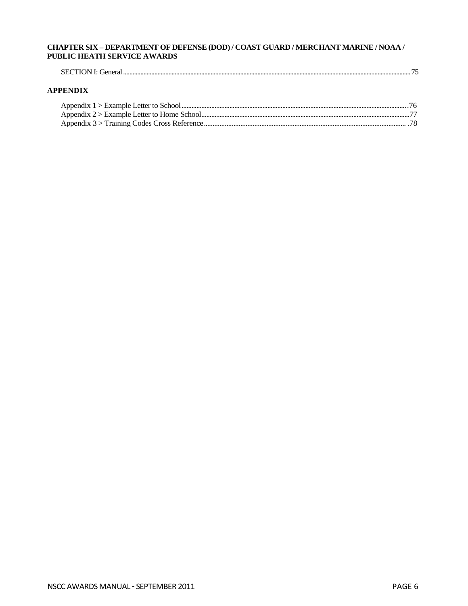#### **CHAPTER SIX – DEPARTMENT OF DEFENSE (DOD) / COAST GUARD / MERCHANT MARINE / NOAA / PUBLIC HEATH SERVICE AWARDS**

#### **APPENDIX**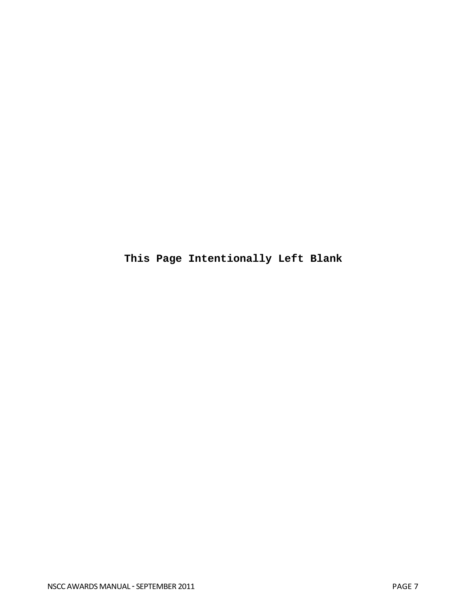**This Page Intentionally Left Blank**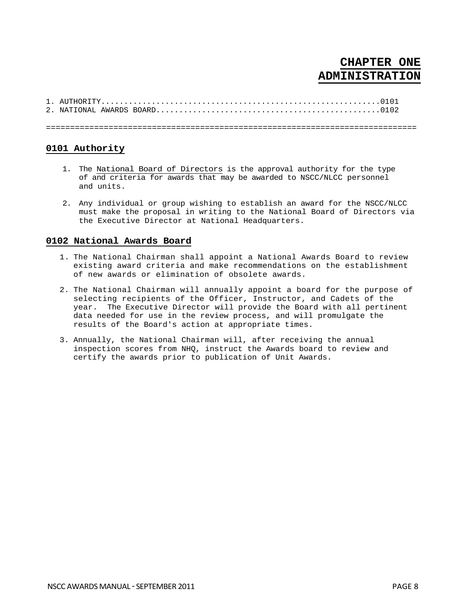# **CHAPTER ONE ADMINISTRATION**

#### =============================================================================

#### **0101 Authority**

- 1. The National Board of Directors is the approval authority for the type of and criteria for awards that may be awarded to NSCC/NLCC personnel and units.
- 2. Any individual or group wishing to establish an award for the NSCC/NLCC must make the proposal in writing to the National Board of Directors via the Executive Director at National Headquarters.

#### **0102 National Awards Board**

- 1. The National Chairman shall appoint a National Awards Board to review existing award criteria and make recommendations on the establishment of new awards or elimination of obsolete awards.
- 2. The National Chairman will annually appoint a board for the purpose of selecting recipients of the Officer, Instructor, and Cadets of the year. The Executive Director will provide the Board with all pertinent data needed for use in the review process, and will promulgate the results of the Board's action at appropriate times.
- 3. Annually, the National Chairman will, after receiving the annual inspection scores from NHQ, instruct the Awards board to review and certify the awards prior to publication of Unit Awards.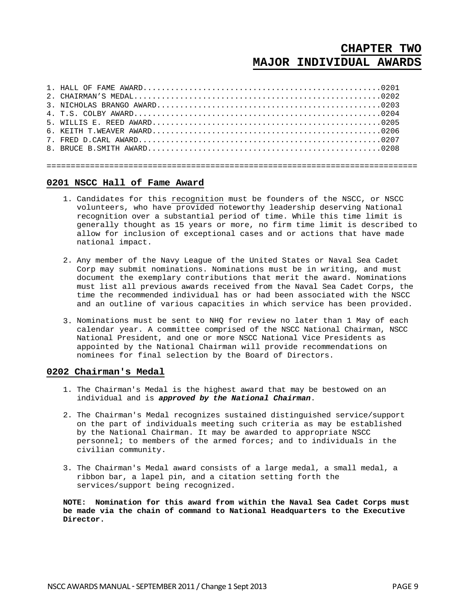# **CHAPTER TWO MAJOR INDIVIDUAL AWARDS**

#### =============================================================================

#### **0201 NSCC Hall of Fame Award**

- 1. Candidates for this recognition must be founders of the NSCC, or NSCC volunteers, who have provided noteworthy leadership deserving National recognition over a substantial period of time. While this time limit is generally thought as 15 years or more, no firm time limit is described to allow for inclusion of exceptional cases and or actions that have made national impact.
- 2. Any member of the Navy League of the United States or Naval Sea Cadet Corp may submit nominations. Nominations must be in writing, and must document the exemplary contributions that merit the award. Nominations must list all previous awards received from the Naval Sea Cadet Corps, the time the recommended individual has or had been associated with the NSCC and an outline of various capacities in which service has been provided.
- 3. Nominations must be sent to NHQ for review no later than 1 May of each calendar year. A committee comprised of the NSCC National Chairman, NSCC National President, and one or more NSCC National Vice Presidents as appointed by the National Chairman will provide recommendations on nominees for final selection by the Board of Directors.

#### **0202 Chairman's Medal**

- 1. The Chairman's Medal is the highest award that may be bestowed on an individual and is *approved by the National Chairman*.
- 2. The Chairman's Medal recognizes sustained distinguished service/support on the part of individuals meeting such criteria as may be established by the National Chairman. It may be awarded to appropriate NSCC personnel; to members of the armed forces; and to individuals in the civilian community.
- 3. The Chairman's Medal award consists of a large medal, a small medal, a ribbon bar, a lapel pin, and a citation setting forth the services/support being recognized.

**NOTE: Nomination for this award from within the Naval Sea Cadet Corps must be made via the chain of command to National Headquarters to the Executive Director.**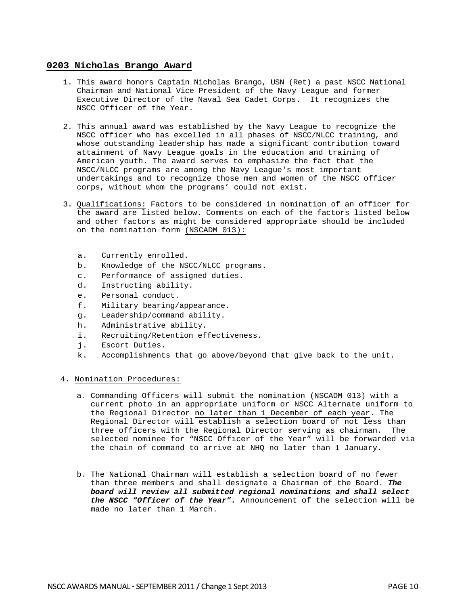#### **0203 Nicholas Brango Award**

- 1. This award honors Captain Nicholas Brango, USN (Ret) a past NSCC National Chairman and National Vice President of the Navy League and former Executive Director of the Naval Sea Cadet Corps. It recognizes the NSCC Officer of the Year.
- 2. This annual award was established by the Navy League to recognize the NSCC officer who has excelled in all phases of NSCC/NLCC training, and whose outstanding leadership has made a significant contribution toward attainment of Navy League goals in the education and training of American youth. The award serves to emphasize the fact that the NSCC/NLCC programs are among the Navy League's most important undertakings and to recognize those men and women of the NSCC officer corps, without whom the programs' could not exist.
- 3. Qualifications: Factors to be considered in nomination of an officer for the award are listed below. Comments on each of the factors listed below and other factors as might be considered appropriate should be included on the nomination form (NSCADM 013):
	- a. Currently enrolled.
	- b. Knowledge of the NSCC/NLCC programs.
	- c. Performance of assigned duties.
	- d. Instructing ability.
	- e. Personal conduct.
	- f. Military bearing/appearance.
	- g. Leadership/command ability.
	- h. Administrative ability.
	- i. Recruiting/Retention effectiveness.
	- j. Escort Duties.
	- k. Accomplishments that go above/beyond that give back to the unit.

#### 4. Nomination Procedures:

- a. Commanding Officers will submit the nomination (NSCADM 013) with a current photo in an appropriate uniform or NSCC Alternate uniform to the Regional Director no later than 1 December of each year. The Regional Director will establish a selection board of not less than three officers with the Regional Director serving as chairman. The selected nominee for "NSCC Officer of the Year" will be forwarded via the chain of command to arrive at NHQ no later than 1 January.
- b. The National Chairman will establish a selection board of no fewer than three members and shall designate a Chairman of the Board. *The board will review all submitted regional nominations and shall select the NSCC "Officer of the Year".* Announcement of the selection will be made no later than 1 March.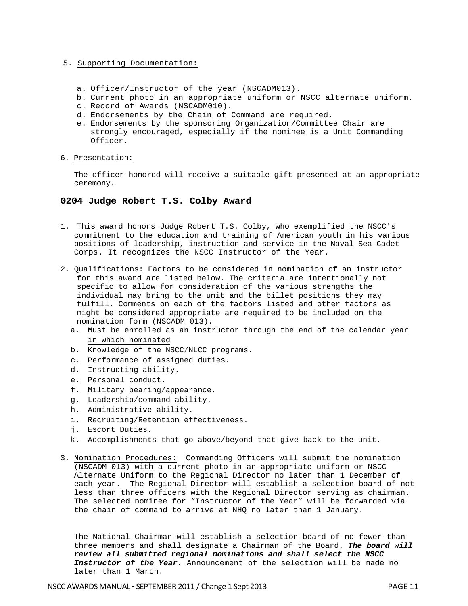#### 5. Supporting Documentation:

- a. Officer/Instructor of the year (NSCADM013).
- b. Current photo in an appropriate uniform or NSCC alternate uniform.
- c. Record of Awards (NSCADM010).
- d. Endorsements by the Chain of Command are required.
- e. Endorsements by the sponsoring Organization/Committee Chair are strongly encouraged, especially if the nominee is a Unit Commanding Officer.
- 6. Presentation:

The officer honored will receive a suitable gift presented at an appropriate ceremony.

#### **0204 Judge Robert T.S. Colby Award**

- 1. This award honors Judge Robert T.S. Colby, who exemplified the NSCC's commitment to the education and training of American youth in his various positions of leadership, instruction and service in the Naval Sea Cadet Corps. It recognizes the NSCC Instructor of the Year.
- 2. Qualifications: Factors to be considered in nomination of an instructor for this award are listed below. The criteria are intentionally not specific to allow for consideration of the various strengths the individual may bring to the unit and the billet positions they may fulfill. Comments on each of the factors listed and other factors as might be considered appropriate are required to be included on the nomination form (NSCADM 013).
	- a. Must be enrolled as an instructor through the end of the calendar year in which nominated
	- b. Knowledge of the NSCC/NLCC programs.
	- c. Performance of assigned duties.
	- d. Instructing ability.
	- e. Personal conduct.
	- f. Military bearing/appearance.
	- g. Leadership/command ability.
	- h. Administrative ability.
	- i. Recruiting/Retention effectiveness.
	- j. Escort Duties.
	- k. Accomplishments that go above/beyond that give back to the unit.
- 3. Nomination Procedures: Commanding Officers will submit the nomination (NSCADM 013) with a current photo in an appropriate uniform or NSCC Alternate Uniform to the Regional Director no later than 1 December of each year. The Regional Director will establish a selection board of not less than three officers with the Regional Director serving as chairman. The selected nominee for "Instructor of the Year" will be forwarded via the chain of command to arrive at NHQ no later than 1 January.

The National Chairman will establish a selection board of no fewer than three members and shall designate a Chairman of the Board. *The board will review all submitted regional nominations and shall select the NSCC Instructor of the Year.* Announcement of the selection will be made no later than 1 March.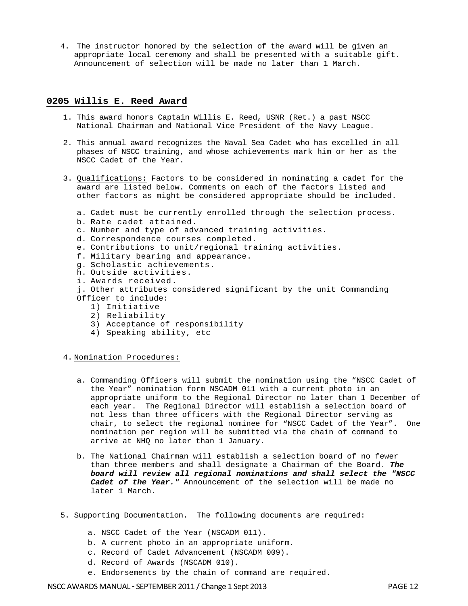4. The instructor honored by the selection of the award will be given an appropriate local ceremony and shall be presented with a suitable gift. Announcement of selection will be made no later than 1 March.

#### **0205 Willis E. Reed Award**

- 1. This award honors Captain Willis E. Reed, USNR (Ret.) a past NSCC National Chairman and National Vice President of the Navy League.
- 2. This annual award recognizes the Naval Sea Cadet who has excelled in all phases of NSCC training, and whose achievements mark him or her as the NSCC Cadet of the Year.
- 3. Qualifications: Factors to be considered in nominating a cadet for the award are listed below. Comments on each of the factors listed and other factors as might be considered appropriate should be included.
	- a. Cadet must be currently enrolled through the selection process.
	- b. Rate cadet attained.
	- c. Number and type of advanced training activities.
	- d. Correspondence courses completed.
	- e. Contributions to unit/regional training activities.
	- f. Military bearing and appearance.
	- g. Scholastic achievements.
	- h. Outside activities.
	- i. Awards received.
	- j. Other attributes considered significant by the unit Commanding Officer to include:
		- 1) Initiative
		- 2) Reliability
		- 3) Acceptance of responsibility
		- 4) Speaking ability, etc
- 4. Nomination Procedures:
	- a. Commanding Officers will submit the nomination using the "NSCC Cadet of the Year" nomination form NSCADM 011 with a current photo in an appropriate uniform to the Regional Director no later than 1 December of each year. The Regional Director will establish a selection board of not less than three officers with the Regional Director serving as chair, to select the regional nominee for "NSCC Cadet of the Year". One nomination per region will be submitted via the chain of command to arrive at NHQ no later than 1 January.
	- b. The National Chairman will establish a selection board of no fewer than three members and shall designate a Chairman of the Board. *The board will review all regional nominations and shall select the "NSCC Cadet of the Year."* Announcement of the selection will be made no later 1 March.
- 5. Supporting Documentation. The following documents are required:
	- a. NSCC Cadet of the Year (NSCADM 011).
	- b. A current photo in an appropriate uniform.
	- c. Record of Cadet Advancement (NSCADM 009).
	- d. Record of Awards (NSCADM 010).
	- e. Endorsements by the chain of command are required.

#### NSCC AWARDS MANUAL - SEPTEMBER 2011 / Change 1 Sept 2013 PAGE 12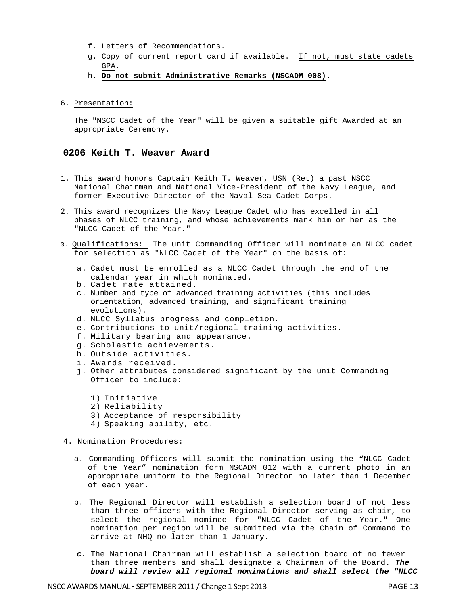- f. Letters of Recommendations.
- g. Copy of current report card if available. If not, must state cadets GPA.
- h. **Do not submit Administrative Remarks (NSCADM 008)**.
- 6. Presentation:

The "NSCC Cadet of the Year" will be given a suitable gift Awarded at an appropriate Ceremony.

#### **0206 Keith T. Weaver Award**

- 1. This award honors Captain Keith T. Weaver, USN (Ret) a past NSCC National Chairman and National Vice-President of the Navy League, and former Executive Director of the Naval Sea Cadet Corps.
- 2. This award recognizes the Navy League Cadet who has excelled in all phases of NLCC training, and whose achievements mark him or her as the "NLCC Cadet of the Year."
- 3. Qualifications: The unit Commanding Officer will nominate an NLCC cadet for selection as "NLCC Cadet of the Year" on the basis of:
	- a. Cadet must be enrolled as a NLCC Cadet through the end of the calendar year in which nominated. b. Cadet rate attained.
	-
	- c. Number and type of advanced training activities (this includes orientation, advanced training, and significant training evolutions).
	- d. NLCC Syllabus progress and completion.
	- e. Contributions to unit/regional training activities.
	- f. Military bearing and appearance.
	- g. Scholastic achievements.
	- h. Outside activities.
	- i. Awards received.
	- j. Other attributes considered significant by the unit Commanding Officer to include:
		- 1) Initiative
		- 2) Reliability
		- 3) Acceptance of responsibility
		- 4) Speaking ability, etc.
- 4. Nomination Procedures:
	- a. Commanding Officers will submit the nomination using the "NLCC Cadet of the Year" nomination form NSCADM 012 with a current photo in an appropriate uniform to the Regional Director no later than 1 December of each year.
	- b. The Regional Director will establish a selection board of not less than three officers with the Regional Director serving as chair, to select the regional nominee for "NLCC Cadet of the Year." One nomination per region will be submitted via the Chain of Command to arrive at NHQ no later than 1 January.
	- *c.* The National Chairman will establish a selection board of no fewer than three members and shall designate a Chairman of the Board. *The board will review all regional nominations and shall select the "NLCC*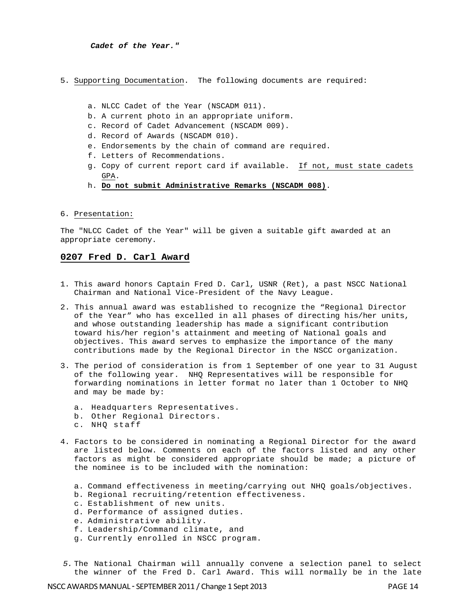- 5. Supporting Documentation. The following documents are required:
	- a. NLCC Cadet of the Year (NSCADM 011).
	- b. A current photo in an appropriate uniform.
	- c. Record of Cadet Advancement (NSCADM 009).
	- d. Record of Awards (NSCADM 010).
	- e. Endorsements by the chain of command are required.
	- f. Letters of Recommendations.
	- g. Copy of current report card if available. If not, must state cadets GPA.
	- h. **Do not submit Administrative Remarks (NSCADM 008)**.
- 6. Presentation:

The "NLCC Cadet of the Year" will be given a suitable gift awarded at an appropriate ceremony.

#### **0207 Fred D. Carl Award**

- 1. This award honors Captain Fred D. Carl, USNR (Ret), a past NSCC National Chairman and National Vice-President of the Navy League.
- 2. This annual award was established to recognize the "Regional Director of the Year" who has excelled in all phases of directing his/her units, and whose outstanding leadership has made a significant contribution toward his/her region's attainment and meeting of National goals and objectives. This award serves to emphasize the importance of the many contributions made by the Regional Director in the NSCC organization.
- 3. The period of consideration is from 1 September of one year to 31 August of the following year. NHQ Representatives will be responsible for forwarding nominations in letter format no later than 1 October to NHQ and may be made by:
	- a. Headquarters Representatives.
	- b. Other Regional Directors.
	- c. NHQ staff
- 4. Factors to be considered in nominating a Regional Director for the award are listed below. Comments on each of the factors listed and any other factors as might be considered appropriate should be made; a picture of the nominee is to be included with the nomination:
	- a. Command effectiveness in meeting/carrying out NHQ goals/objectives.
	- b. Regional recruiting/retention effectiveness.
	- c. Establishment of new units.
	- d. Performance of assigned duties.
	- e. Administrative ability.
	- f. Leadership/Command climate, and
	- g. Currently enrolled in NSCC program.
- *5.* The National Chairman will annually convene a selection panel to select the winner of the Fred D. Carl Award. This will normally be in the late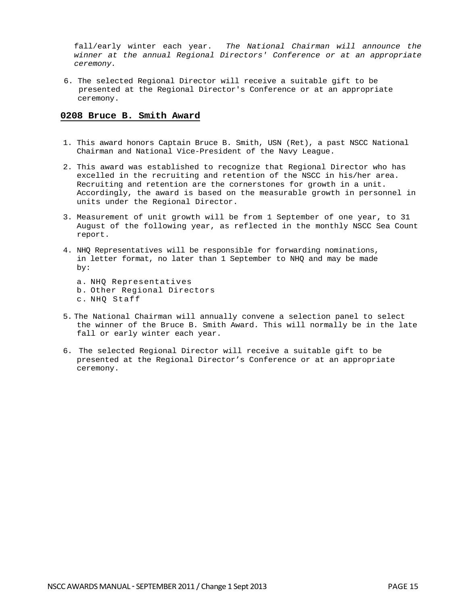fall/early winter each year. *The National Chairman will announce the winner at the annual Regional Directors' Conference or at an appropriate ceremony.*

6. The selected Regional Director will receive a suitable gift to be presented at the Regional Director's Conference or at an appropriate ceremony.

#### **0208 Bruce B. Smith Award**

- 1. This award honors Captain Bruce B. Smith, USN (Ret), a past NSCC National Chairman and National Vice-President of the Navy League.
- 2. This award was established to recognize that Regional Director who has excelled in the recruiting and retention of the NSCC in his/her area. Recruiting and retention are the cornerstones for growth in a unit. Accordingly, the award is based on the measurable growth in personnel in units under the Regional Director.
- 3. Measurement of unit growth will be from 1 September of one year, to 31 August of the following year, as reflected in the monthly NSCC Sea Count report.
- 4. NHQ Representatives will be responsible for forwarding nominations, in letter format, no later than 1 September to NHQ and may be made by:
	- a. NHQ Representatives b. Other Regional Directors c. NHQ Staff
- 5. The National Chairman will annually convene a selection panel to select the winner of the Bruce B. Smith Award. This will normally be in the late fall or early winter each year.
- 6. The selected Regional Director will receive a suitable gift to be presented at the Regional Director's Conference or at an appropriate ceremony.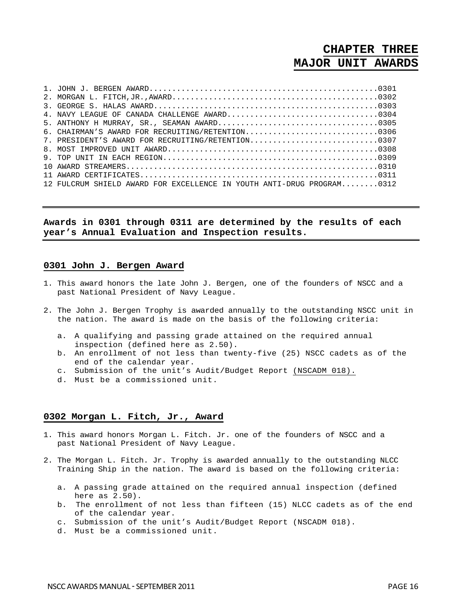### **CHAPTER THREE MAJOR UNIT AWARDS**

| 4. NAVY LEAGUE OF CANADA CHALLENGE AWARD0304                          |  |
|-----------------------------------------------------------------------|--|
|                                                                       |  |
| 6. CHAIRMAN'S AWARD FOR RECRUITING/RETENTION0306                      |  |
| 7. PRESIDENT'S AWARD FOR RECRUITING/RETENTION0307                     |  |
|                                                                       |  |
|                                                                       |  |
|                                                                       |  |
|                                                                       |  |
| 12 FULCRUM SHIELD AWARD FOR EXCELLENCE IN YOUTH ANTI-DRUG PROGRAM0312 |  |

**Awards in 0301 through 0311 are determined by the results of each year's Annual Evaluation and Inspection results.**

#### **0301 John J. Bergen Award**

- 1. This award honors the late John J. Bergen, one of the founders of NSCC and a past National President of Navy League.
- 2. The John J. Bergen Trophy is awarded annually to the outstanding NSCC unit in the nation. The award is made on the basis of the following criteria:
	- a. A qualifying and passing grade attained on the required annual inspection (defined here as 2.50).
	- b. An enrollment of not less than twenty-five (25) NSCC cadets as of the end of the calendar year.
	- c. Submission of the unit's Audit/Budget Report (NSCADM 018).
	- d. Must be a commissioned unit.

#### **0302 Morgan L. Fitch, Jr., Award**

- 1. This award honors Morgan L. Fitch. Jr. one of the founders of NSCC and a past National President of Navy League.
- 2. The Morgan L. Fitch. Jr. Trophy is awarded annually to the outstanding NLCC Training Ship in the nation. The award is based on the following criteria:
	- a. A passing grade attained on the required annual inspection (defined here as 2.50).
	- b. The enrollment of not less than fifteen (15) NLCC cadets as of the end of the calendar year.
	- c. Submission of the unit's Audit/Budget Report (NSCADM 018).
	- d. Must be a commissioned unit.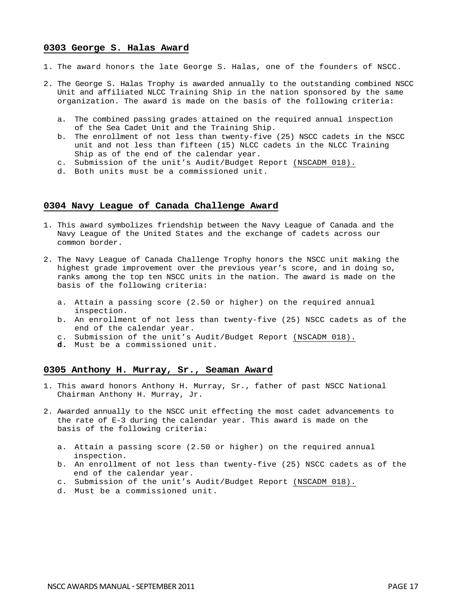#### **0303 George S. Halas Award**

- 1. The award honors the late George S. Halas, one of the founders of NSCC.
- 2. The George S. Halas Trophy is awarded annually to the outstanding combined NSCC Unit and affiliated NLCC Training Ship in the nation sponsored by the same organization. The award is made on the basis of the following criteria:
	- a. The combined passing grades attained on the required annual inspection of the Sea Cadet Unit and the Training Ship.
	- b. The enrollment of not less than twenty-five (25) NSCC cadets in the NSCC unit and not less than fifteen (15) NLCC cadets in the NLCC Training Ship as of the end of the calendar year.
	- c. Submission of the unit's Audit/Budget Report (NSCADM 018).
	- d. Both units must be a commissioned unit.

#### **0304 Navy League of Canada Challenge Award**

- 1. This award symbolizes friendship between the Navy League of Canada and the Navy League of the United States and the exchange of cadets across our common border.
- 2. The Navy League of Canada Challenge Trophy honors the NSCC unit making the highest grade improvement over the previous year's score, and in doing so, ranks among the top ten NSCC units in the nation. The award is made on the basis of the following criteria:
	- a. Attain a passing score (2.50 or higher) on the required annual inspection.
	- b. An enrollment of not less than twenty-five (25) NSCC cadets as of the end of the calendar year.
	- c. Submission of the unit's Audit/Budget Report (NSCADM 018).
	- **d.** Must be a commissioned unit.

#### **0305 Anthony H. Murray, Sr., Seaman Award**

- 1. This award honors Anthony H. Murray, Sr., father of past NSCC National Chairman Anthony H. Murray, Jr.
- 2. Awarded annually to the NSCC unit effecting the most cadet advancements to the rate of E-3 during the calendar year. This award is made on the basis of the following criteria:
	- a. Attain a passing score (2.50 or higher) on the required annual inspection.
	- b. An enrollment of not less than twenty-five (25) NSCC cadets as of the end of the calendar year.
	- c. Submission of the unit's Audit/Budget Report (NSCADM 018).
	- d. Must be a commissioned unit.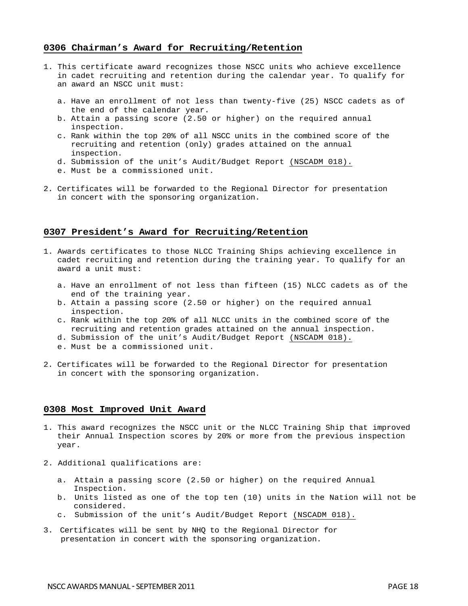#### **0306 Chairman's Award for Recruiting/Retention**

- 1. This certificate award recognizes those NSCC units who achieve excellence in cadet recruiting and retention during the calendar year. To qualify for an award an NSCC unit must:
	- a. Have an enrollment of not less than twenty-five (25) NSCC cadets as of the end of the calendar year.
	- b. Attain a passing score (2.50 or higher) on the required annual inspection.
	- c. Rank within the top 20% of all NSCC units in the combined score of the recruiting and retention (only) grades attained on the annual inspection.
	- d. Submission of the unit's Audit/Budget Report (NSCADM 018).
	- e. Must be a commissioned unit.
- 2. Certificates will be forwarded to the Regional Director for presentation in concert with the sponsoring organization.

#### **0307 President's Award for Recruiting/Retention**

- 1. Awards certificates to those NLCC Training Ships achieving excellence in cadet recruiting and retention during the training year. To qualify for an award a unit must:
	- a. Have an enrollment of not less than fifteen (15) NLCC cadets as of the end of the training year.
	- b. Attain a passing score (2.50 or higher) on the required annual inspection.
	- c. Rank within the top 20% of all NLCC units in the combined score of the recruiting and retention grades attained on the annual inspection.
	- d. Submission of the unit's Audit/Budget Report (NSCADM 018).
	- e. Must be a commissioned unit.
- 2. Certificates will be forwarded to the Regional Director for presentation in concert with the sponsoring organization.

#### **0308 Most Improved Unit Award**

- 1. This award recognizes the NSCC unit or the NLCC Training Ship that improved their Annual Inspection scores by 20% or more from the previous inspection year.
- 2. Additional qualifications are:
	- a. Attain a passing score (2.50 or higher) on the required Annual Inspection.
	- b. Units listed as one of the top ten (10) units in the Nation will not be considered.
	- c. Submission of the unit's Audit/Budget Report (NSCADM 018).
- 3. Certificates will be sent by NHQ to the Regional Director for presentation in concert with the sponsoring organization.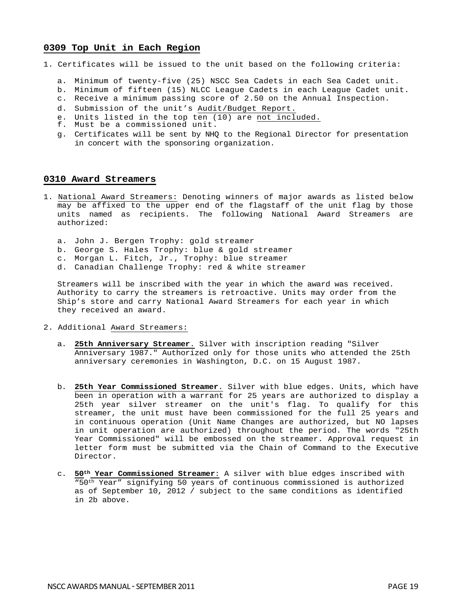#### **0309 Top Unit in Each Region**

- 1. Certificates will be issued to the unit based on the following criteria:
	- a. Minimum of twenty-five (25) NSCC Sea Cadets in each Sea Cadet unit.
	- b. Minimum of fifteen (15) NLCC League Cadets in each League Cadet unit.
	- c. Receive a minimum passing score of 2.50 on the Annual Inspection.
	- d. Submission of the unit's Audit/Budget Report.
	- e. Units listed in the top ten (10) are <u>not included.</u>
	- f. Must be a commissioned unit.
	- g. Certificates will be sent by NHQ to the Regional Director for presentation in concert with the sponsoring organization.

#### **0310 Award Streamers**

- 1. National Award Streamers: Denoting winners of major awards as listed below may be affixed to the upper end of the flagstaff of the unit flag by those units named as recipients. The following National Award Streamers are authorized:
	- a. John J. Bergen Trophy: gold streamer
	- b. George S. Hales Trophy: blue & gold streamer
	- c. Morgan L. Fitch, Jr., Trophy: blue streamer
	- d. Canadian Challenge Trophy: red & white streamer

Streamers will be inscribed with the year in which the award was received. Authority to carry the streamers is retroactive. Units may order from the Ship's store and carry National Award Streamers for each year in which they received an award.

- 2. Additional Award Streamers:
	- a. **25th Anniversary Streamer**. Silver with inscription reading "Silver Anniversary 1987." Authorized only for those units who attended the 25th anniversary ceremonies in Washington, D.C. on 15 August 1987.
	- b. **25th Year Commissioned Streamer**. Silver with blue edges. Units, which have been in operation with a warrant for 25 years are authorized to display a 25th year silver streamer on the unit's flag. To qualify for this streamer, the unit must have been commissioned for the full 25 years and in continuous operation (Unit Name Changes are authorized, but NO lapses in unit operation are authorized) throughout the period. The words "25th Year Commissioned" will be embossed on the streamer. Approval request in letter form must be submitted via the Chain of Command to the Executive Director.
	- c. **50th Year Commissioned Streamer**: A silver with blue edges inscribed with "50th Year" signifying 50 years of continuous commissioned is authorized as of September 10, 2012 / subject to the same conditions as identified in 2b above.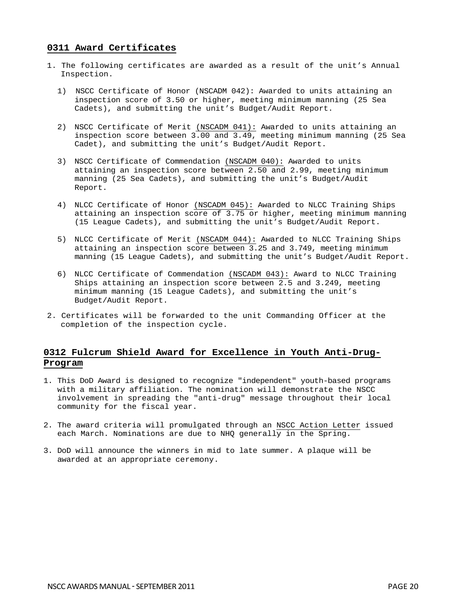#### **0311 Award Certificates**

- 1. The following certificates are awarded as a result of the unit's Annual Inspection.
	- 1) NSCC Certificate of Honor (NSCADM 042): Awarded to units attaining an inspection score of 3.50 or higher, meeting minimum manning (25 Sea Cadets), and submitting the unit's Budget/Audit Report.
	- 2) NSCC Certificate of Merit (NSCADM 041): Awarded to units attaining an inspection score between 3.00 and 3.49, meeting minimum manning (25 Sea Cadet), and submitting the unit's Budget/Audit Report.
	- 3) NSCC Certificate of Commendation (NSCADM 040): Awarded to units attaining an inspection score between 2.50 and 2.99, meeting minimum manning (25 Sea Cadets), and submitting the unit's Budget/Audit Report.
	- 4) NLCC Certificate of Honor (NSCADM 045): Awarded to NLCC Training Ships attaining an inspection score of  $3.75$  or higher, meeting minimum manning (15 League Cadets), and submitting the unit's Budget/Audit Report.
	- 5) NLCC Certificate of Merit (NSCADM 044): Awarded to NLCC Training Ships attaining an inspection score between 3.25 and 3.749, meeting minimum manning (15 League Cadets), and submitting the unit's Budget/Audit Report.
	- 6) NLCC Certificate of Commendation (NSCADM 043): Award to NLCC Training Ships attaining an inspection score between 2.5 and 3.249, meeting minimum manning (15 League Cadets), and submitting the unit's Budget/Audit Report.
- 2. Certificates will be forwarded to the unit Commanding Officer at the completion of the inspection cycle.

#### **0312 Fulcrum Shield Award for Excellence in Youth Anti-Drug-Program**

- 1. This DoD Award is designed to recognize "independent" youth-based programs with a military affiliation. The nomination will demonstrate the NSCC involvement in spreading the "anti-drug" message throughout their local community for the fiscal year.
- 2. The award criteria will promulgated through an NSCC Action Letter issued each March. Nominations are due to NHQ generally in the Spring.
- 3. DoD will announce the winners in mid to late summer. A plaque will be awarded at an appropriate ceremony.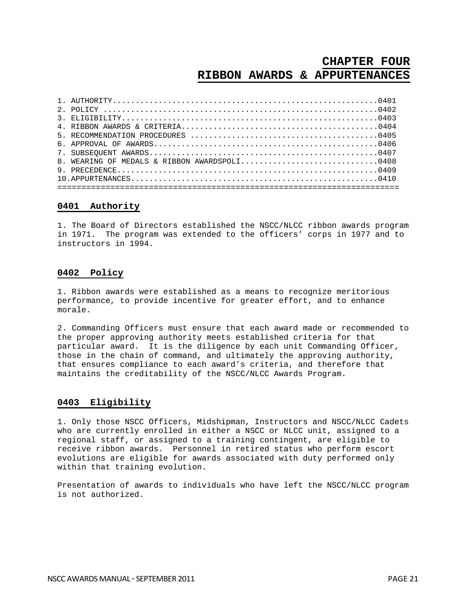## **CHAPTER FOUR RIBBON AWARDS & APPURTENANCES**

| 8. WEARING OF MEDALS & RIBBON AWARDSPOLI0408 |
|----------------------------------------------|
|                                              |
|                                              |
|                                              |

#### **0401 Authority**

1. The Board of Directors established the NSCC/NLCC ribbon awards program in 1971. The program was extended to the officers' corps in 1977 and to instructors in 1994.

#### **0402 Policy**

1. Ribbon awards were established as a means to recognize meritorious performance, to provide incentive for greater effort, and to enhance morale.

2. Commanding Officers must ensure that each award made or recommended to the proper approving authority meets established criteria for that particular award. It is the diligence by each unit Commanding Officer, those in the chain of command, and ultimately the approving authority, that ensures compliance to each award's criteria, and therefore that maintains the creditability of the NSCC/NLCC Awards Program.

#### **0403 Eligibility**

1. Only those NSCC Officers, Midshipman, Instructors and NSCC/NLCC Cadets who are currently enrolled in either a NSCC or NLCC unit, assigned to a regional staff, or assigned to a training contingent, are eligible to receive ribbon awards. Personnel in retired status who perform escort evolutions are eligible for awards associated with duty performed only within that training evolution.

Presentation of awards to individuals who have left the NSCC/NLCC program is not authorized.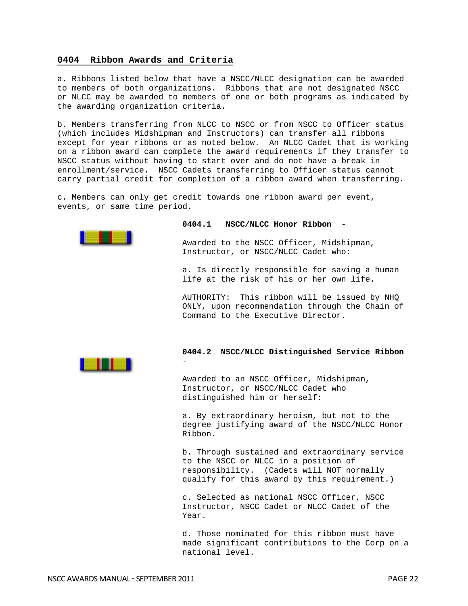#### **0404 Ribbon Awards and Criteria**

a. Ribbons listed below that have a NSCC/NLCC designation can be awarded to members of both organizations. Ribbons that are not designated NSCC or NLCC may be awarded to members of one or both programs as indicated by the awarding organization criteria.

b. Members transferring from NLCC to NSCC or from NSCC to Officer status (which includes Midshipman and Instructors) can transfer all ribbons except for year ribbons or as noted below. An NLCC Cadet that is working on a ribbon award can complete the award requirements if they transfer to NSCC status without having to start over and do not have a break in enrollment/service. NSCC Cadets transferring to Officer status cannot carry partial credit for completion of a ribbon award when transferring.

c. Members can only get credit towards one ribbon award per event, events, or same time period.



#### **0404.1 NSCC/NLCC Honor Ribbon** -

Awarded to the NSCC Officer, Midshipman, Instructor, or NSCC/NLCC Cadet who:

a. Is directly responsible for saving a human life at the risk of his or her own life.

AUTHORITY: This ribbon will be issued by NHQ ONLY, upon recommendation through the Chain of Command to the Executive Director.



#### **0404.2 NSCC/NLCC Distinguished Service Ribbon** -

Awarded to an NSCC Officer, Midshipman, Instructor, or NSCC/NLCC Cadet who distinguished him or herself:

a. By extraordinary heroism, but not to the degree justifying award of the NSCC/NLCC Honor Ribbon.

b. Through sustained and extraordinary service to the NSCC or NLCC in a position of responsibility. (Cadets will NOT normally qualify for this award by this requirement.)

c. Selected as national NSCC Officer, NSCC Instructor, NSCC Cadet or NLCC Cadet of the Year.

d. Those nominated for this ribbon must have made significant contributions to the Corp on a national level.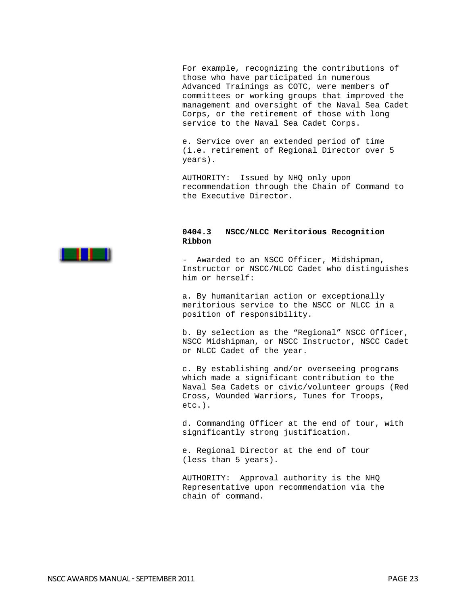For example, recognizing the contributions of those who have participated in numerous Advanced Trainings as COTC, were members of committees or working groups that improved the management and oversight of the Naval Sea Cadet Corps, or the retirement of those with long service to the Naval Sea Cadet Corps.

e. Service over an extended period of time (i.e. retirement of Regional Director over 5 years).

AUTHORITY: Issued by NHQ only upon recommendation through the Chain of Command to the Executive Director.

#### **0404.3 NSCC/NLCC Meritorious Recognition Ribbon**

- Awarded to an NSCC Officer, Midshipman, Instructor or NSCC/NLCC Cadet who distinguishes him or herself:

a. By humanitarian action or exceptionally meritorious service to the NSCC or NLCC in a position of responsibility.

b. By selection as the "Regional" NSCC Officer, NSCC Midshipman, or NSCC Instructor, NSCC Cadet or NLCC Cadet of the year.

c. By establishing and/or overseeing programs which made a significant contribution to the Naval Sea Cadets or civic/volunteer groups (Red Cross, Wounded Warriors, Tunes for Troops, etc.).

d. Commanding Officer at the end of tour, with significantly strong justification.

e. Regional Director at the end of tour (less than 5 years).

AUTHORITY: Approval authority is the NHQ Representative upon recommendation via the chain of command.

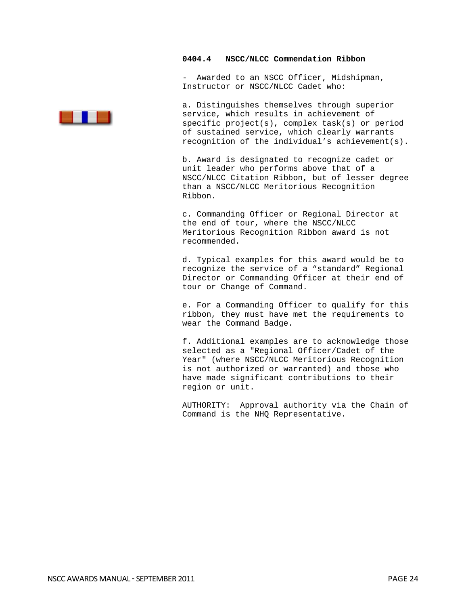#### **0404.4 NSCC/NLCC Commendation Ribbon**

- Awarded to an NSCC Officer, Midshipman, Instructor or NSCC/NLCC Cadet who:

a. Distinguishes themselves through superior service, which results in achievement of specific project(s), complex task(s) or period of sustained service, which clearly warrants recognition of the individual's achievement(s).

b. Award is designated to recognize cadet or unit leader who performs above that of a NSCC/NLCC Citation Ribbon, but of lesser degree than a NSCC/NLCC Meritorious Recognition Ribbon.

c. Commanding Officer or Regional Director at the end of tour, where the NSCC/NLCC Meritorious Recognition Ribbon award is not recommended.

d. Typical examples for this award would be to recognize the service of a "standard" Regional Director or Commanding Officer at their end of tour or Change of Command.

e. For a Commanding Officer to qualify for this ribbon, they must have met the requirements to wear the Command Badge.

f. Additional examples are to acknowledge those selected as a "Regional Officer/Cadet of the Year" (where NSCC/NLCC Meritorious Recognition is not authorized or warranted) and those who have made significant contributions to their region or unit.

AUTHORITY: Approval authority via the Chain of Command is the NHQ Representative.

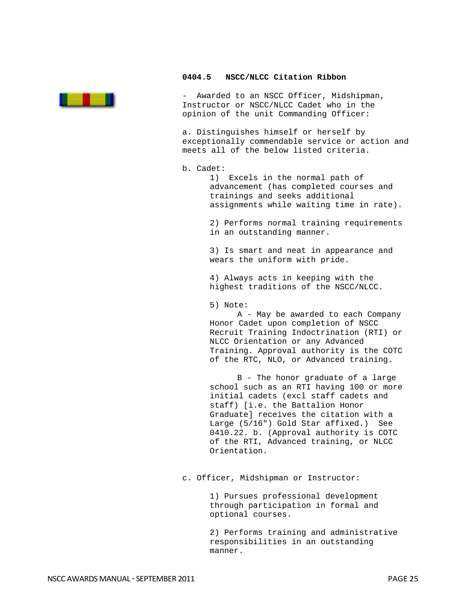#### **0404.5 NSCC/NLCC Citation Ribbon**



- Awarded to an NSCC Officer, Midshipman, Instructor or NSCC/NLCC Cadet who in the opinion of the unit Commanding Officer:

a. Distinguishes himself or herself by exceptionally commendable service or action and meets all of the below listed criteria.

#### b. Cadet:

1) Excels in the normal path of advancement (has completed courses and trainings and seeks additional assignments while waiting time in rate).

2) Performs normal training requirements in an outstanding manner.

3) Is smart and neat in appearance and wears the uniform with pride.

4) Always acts in keeping with the highest traditions of the NSCC/NLCC.

5) Note:

A - May be awarded to each Company Honor Cadet upon completion of NSCC Recruit Training Indoctrination (RTI) or NLCC Orientation or any Advanced Training. Approval authority is the COTC of the RTC, NLO, or Advanced training.

B - The honor graduate of a large school such as an RTI having 100 or more initial cadets (excl staff cadets and staff) [i.e. the Battalion Honor Graduate] receives the citation with a Large (5/16") Gold Star affixed.) See 0410.22. b. (Approval authority is COTC of the RTI, Advanced training, or NLCC Orientation.

c. Officer, Midshipman or Instructor:

1) Pursues professional development through participation in formal and optional courses.

2) Performs training and administrative responsibilities in an outstanding manner.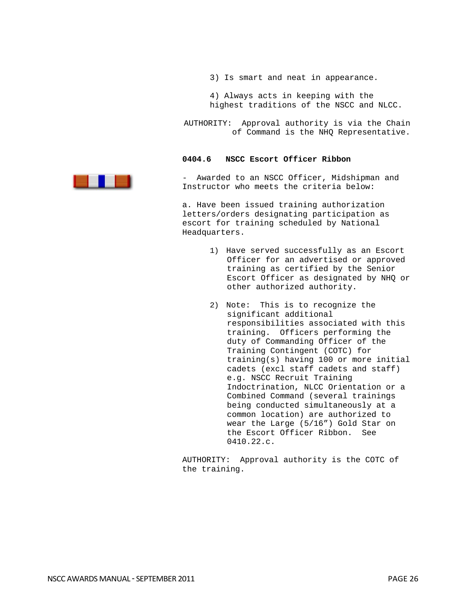- 3) Is smart and neat in appearance.
- 4) Always acts in keeping with the highest traditions of the NSCC and NLCC.
- AUTHORITY: Approval authority is via the Chain of Command is the NHQ Representative.

#### **0404.6 NSCC Escort Officer Ribbon**



- Awarded to an NSCC Officer, Midshipman and Instructor who meets the criteria below:

a. Have been issued training authorization letters/orders designating participation as escort for training scheduled by National Headquarters.

- 1) Have served successfully as an Escort Officer for an advertised or approved training as certified by the Senior Escort Officer as designated by NHQ or other authorized authority.
- 2) Note: This is to recognize the significant additional responsibilities associated with this training. Officers performing the duty of Commanding Officer of the Training Contingent (COTC) for training(s) having 100 or more initial cadets (excl staff cadets and staff) e.g. NSCC Recruit Training Indoctrination, NLCC Orientation or a Combined Command (several trainings being conducted simultaneously at a common location) are authorized to wear the Large (5/16") Gold Star on the Escort Officer Ribbon. See 0410.22.c.

AUTHORITY: Approval authority is the COTC of the training.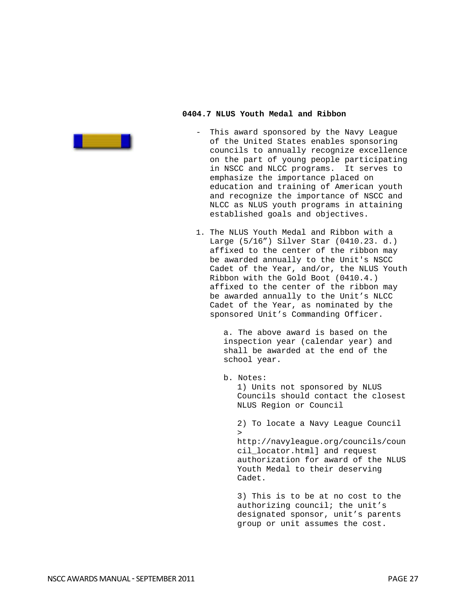#### **0404.7 NLUS Youth Medal and Ribbon**



- This award sponsored by the Navy League of the United States enables sponsoring councils to annually recognize excellence on the part of young people participating in NSCC and NLCC programs. It serves to emphasize the importance placed on education and training of American youth and recognize the importance of NSCC and NLCC as NLUS youth programs in attaining established goals and objectives.
- 1. The NLUS Youth Medal and Ribbon with a Large (5/16") Silver Star (0410.23. d.) affixed to the center of the ribbon may be awarded annually to the Unit's NSCC Cadet of the Year, and/or, the NLUS Youth Ribbon with the Gold Boot (0410.4.) affixed to the center of the ribbon may be awarded annually to the Unit's NLCC Cadet of the Year, as nominated by the sponsored Unit's Commanding Officer.

a. The above award is based on the inspection year (calendar year) and shall be awarded at the end of the school year.

b. Notes: 1) Units not sponsored by NLUS Councils should contact the closest NLUS Region or Council

2) To locate a Navy League Council  $>$ http://navyleague.org/councils/coun cil\_locator.html] and request authorization for award of the NLUS Youth Medal to their deserving Cadet.

3) This is to be at no cost to the authorizing council; the unit's designated sponsor, unit's parents group or unit assumes the cost.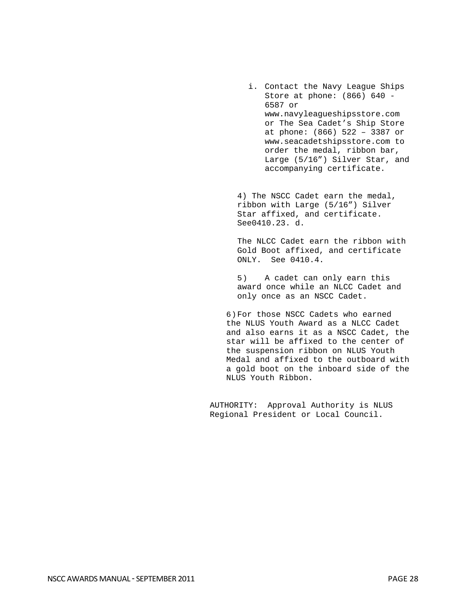i. Contact the Navy League Ships Store at phone: (866) 640 - 6587 or www.navyleagueshipsstore.com or The Sea Cadet's Ship Store at phone: (866) 522 – 3387 or www.seacadetshipsstore.com to order the medal, ribbon bar, Large (5/16") Silver Star, and accompanying certificate.

4) The NSCC Cadet earn the medal, ribbon with Large (5/16") Silver Star affixed, and certificate. See0410.23. d.

The NLCC Cadet earn the ribbon with Gold Boot affixed, and certificate ONLY. See 0410.4.

5) A cadet can only earn this award once while an NLCC Cadet and only once as an NSCC Cadet.

6)For those NSCC Cadets who earned the NLUS Youth Award as a NLCC Cadet and also earns it as a NSCC Cadet, the star will be affixed to the center of the suspension ribbon on NLUS Youth Medal and affixed to the outboard with a gold boot on the inboard side of the NLUS Youth Ribbon.

AUTHORITY: Approval Authority is NLUS Regional President or Local Council.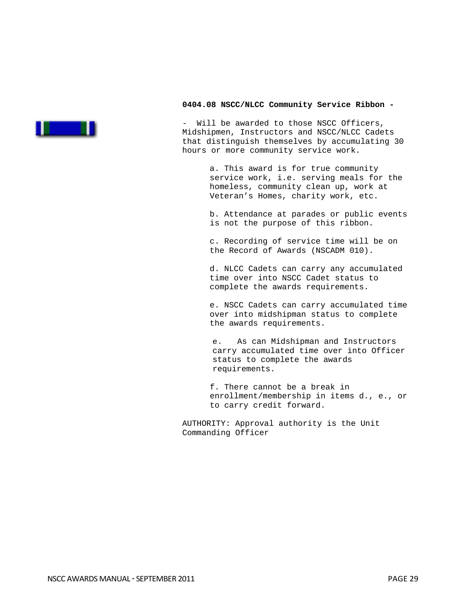#### **0404.08 NSCC/NLCC Community Service Ribbon -**



- Will be awarded to those NSCC Officers, Midshipmen, Instructors and NSCC/NLCC Cadets that distinguish themselves by accumulating 30 hours or more community service work.

> a. This award is for true community service work, i.e. serving meals for the homeless, community clean up, work at Veteran's Homes, charity work, etc.

b. Attendance at parades or public events is not the purpose of this ribbon.

c. Recording of service time will be on the Record of Awards (NSCADM 010).

d. NLCC Cadets can carry any accumulated time over into NSCC Cadet status to complete the awards requirements.

e. NSCC Cadets can carry accumulated time over into midshipman status to complete the awards requirements.

e. As can Midshipman and Instructors carry accumulated time over into Officer status to complete the awards requirements.

f. There cannot be a break in enrollment/membership in items d., e., or to carry credit forward.

AUTHORITY: Approval authority is the Unit Commanding Officer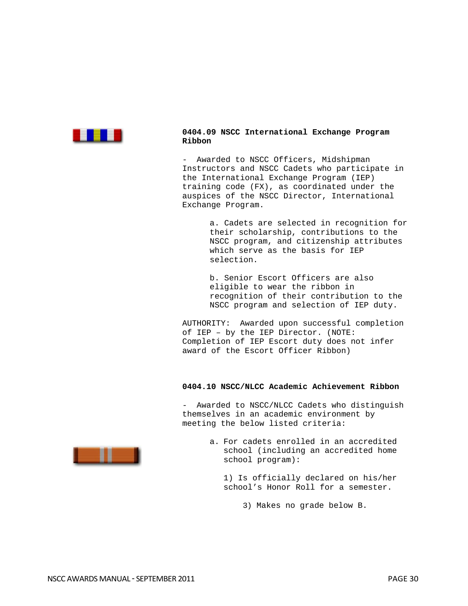

#### **0404.09 NSCC International Exchange Program Ribbon**

- Awarded to NSCC Officers, Midshipman Instructors and NSCC Cadets who participate in the International Exchange Program (IEP) training code (FX), as coordinated under the auspices of the NSCC Director, International Exchange Program.

> a. Cadets are selected in recognition for their scholarship, contributions to the NSCC program, and citizenship attributes which serve as the basis for IEP selection.

b. Senior Escort Officers are also eligible to wear the ribbon in recognition of their contribution to the NSCC program and selection of IEP duty.

AUTHORITY: Awarded upon successful completion of IEP – by the IEP Director. (NOTE: Completion of IEP Escort duty does not infer award of the Escort Officer Ribbon)

#### **0404.10 NSCC/NLCC Academic Achievement Ribbon**

- Awarded to NSCC/NLCC Cadets who distinguish themselves in an academic environment by meeting the below listed criteria:



a. For cadets enrolled in an accredited school (including an accredited home school program):

1) Is officially declared on his/her school's Honor Roll for a semester.

3) Makes no grade below B.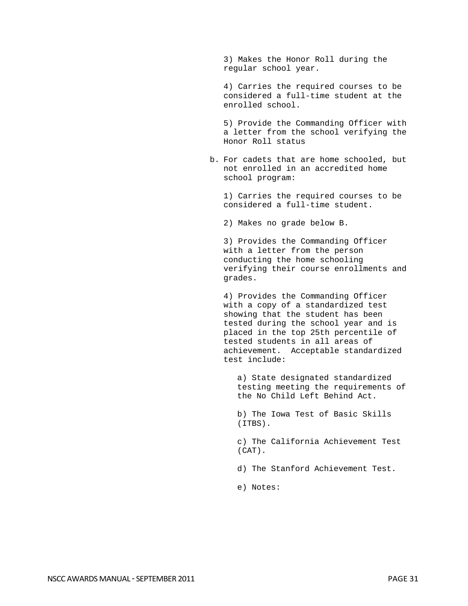3) Makes the Honor Roll during the regular school year.

4) Carries the required courses to be considered a full-time student at the enrolled school.

5) Provide the Commanding Officer with a letter from the school verifying the Honor Roll status

b. For cadets that are home schooled, but not enrolled in an accredited home school program:

1) Carries the required courses to be considered a full-time student.

2) Makes no grade below B.

3) Provides the Commanding Officer with a letter from the person conducting the home schooling verifying their course enrollments and grades.

4) Provides the Commanding Officer with a copy of a standardized test showing that the student has been tested during the school year and is placed in the top 25th percentile of tested students in all areas of achievement. Acceptable standardized test include:

a) State designated standardized testing meeting the requirements of the No Child Left Behind Act.

b) The Iowa Test of Basic Skills (ITBS).

c) The California Achievement Test (CAT).

d) The Stanford Achievement Test.

e) Notes: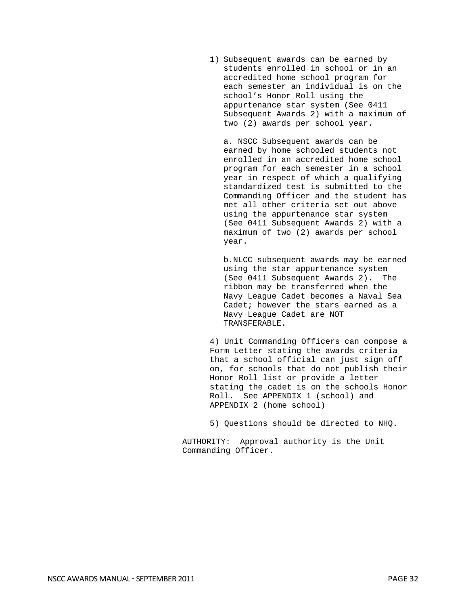1) Subsequent awards can be earned by students enrolled in school or in an accredited home school program for each semester an individual is on the school's Honor Roll using the appurtenance star system (See 0411 Subsequent Awards 2) with a maximum of two (2) awards per school year.

a. NSCC Subsequent awards can be earned by home schooled students not enrolled in an accredited home school program for each semester in a school year in respect of which a qualifying standardized test is submitted to the Commanding Officer and the student has met all other criteria set out above using the appurtenance star system (See 0411 Subsequent Awards 2) with a maximum of two (2) awards per school year.

b.NLCC subsequent awards may be earned using the star appurtenance system (See 0411 Subsequent Awards 2). The ribbon may be transferred when the Navy League Cadet becomes a Naval Sea Cadet; however the stars earned as a Navy League Cadet are NOT TRANSFERABLE.

4) Unit Commanding Officers can compose a Form Letter stating the awards criteria that a school official can just sign off on, for schools that do not publish their Honor Roll list or provide a letter stating the cadet is on the schools Honor Roll. See APPENDIX 1 (school) and APPENDIX 2 (home school)

5) Questions should be directed to NHQ.

AUTHORITY: Approval authority is the Unit Commanding Officer.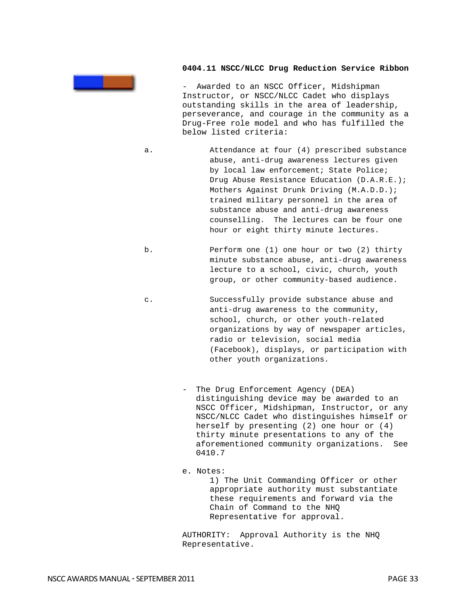#### **0404.11 NSCC/NLCC Drug Reduction Service Ribbon**



- Awarded to an NSCC Officer, Midshipman Instructor, or NSCC/NLCC Cadet who displays outstanding skills in the area of leadership, perseverance, and courage in the community as a Drug-Free role model and who has fulfilled the below listed criteria:

- a. Attendance at four (4) prescribed substance abuse, anti-drug awareness lectures given by local law enforcement; State Police; Drug Abuse Resistance Education (D.A.R.E.); Mothers Against Drunk Driving (M.A.D.D.); trained military personnel in the area of substance abuse and anti-drug awareness counselling. The lectures can be four one hour or eight thirty minute lectures.
- b. Perform one (1) one hour or two (2) thirty minute substance abuse, anti-drug awareness lecture to a school, civic, church, youth group, or other community-based audience.
- c. Successfully provide substance abuse and anti-drug awareness to the community, school, church, or other youth-related organizations by way of newspaper articles, radio or television, social media (Facebook), displays, or participation with other youth organizations.
	- The Drug Enforcement Agency (DEA) distinguishing device may be awarded to an NSCC Officer, Midshipman, Instructor, or any NSCC/NLCC Cadet who distinguishes himself or herself by presenting (2) one hour or (4) thirty minute presentations to any of the aforementioned community organizations. See 0410.7
	- e. Notes:

1) The Unit Commanding Officer or other appropriate authority must substantiate these requirements and forward via the Chain of Command to the NHQ Representative for approval.

AUTHORITY: Approval Authority is the NHQ Representative.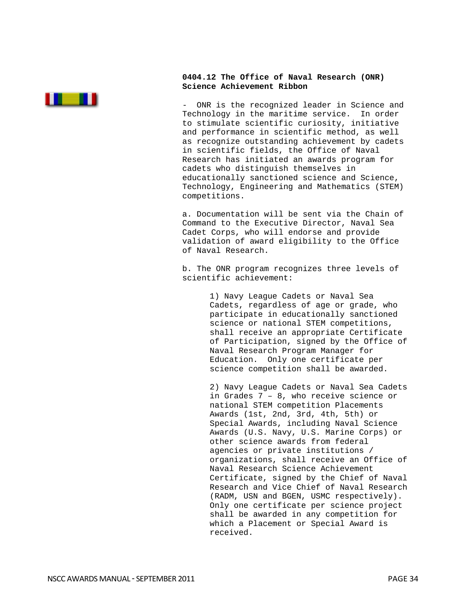

#### **0404.12 The Office of Naval Research (ONR) Science Achievement Ribbon**

ONR is the recognized leader in Science and Technology in the maritime service. In order to stimulate scientific curiosity, initiative and performance in scientific method, as well as recognize outstanding achievement by cadets in scientific fields, the Office of Naval Research has initiated an awards program for cadets who distinguish themselves in educationally sanctioned science and Science, Technology, Engineering and Mathematics (STEM) competitions.

a. Documentation will be sent via the Chain of Command to the Executive Director, Naval Sea Cadet Corps, who will endorse and provide validation of award eligibility to the Office of Naval Research.

b. The ONR program recognizes three levels of scientific achievement:

> 1) Navy League Cadets or Naval Sea Cadets, regardless of age or grade, who participate in educationally sanctioned science or national STEM competitions, shall receive an appropriate Certificate of Participation, signed by the Office of Naval Research Program Manager for Education. Only one certificate per science competition shall be awarded.

> 2) Navy League Cadets or Naval Sea Cadets in Grades 7 – 8, who receive science or national STEM competition Placements Awards (1st, 2nd, 3rd, 4th, 5th) or Special Awards, including Naval Science Awards (U.S. Navy, U.S. Marine Corps) or other science awards from federal agencies or private institutions / organizations, shall receive an Office of Naval Research Science Achievement Certificate, signed by the Chief of Naval Research and Vice Chief of Naval Research (RADM, USN and BGEN, USMC respectively). Only one certificate per science project shall be awarded in any competition for which a Placement or Special Award is received.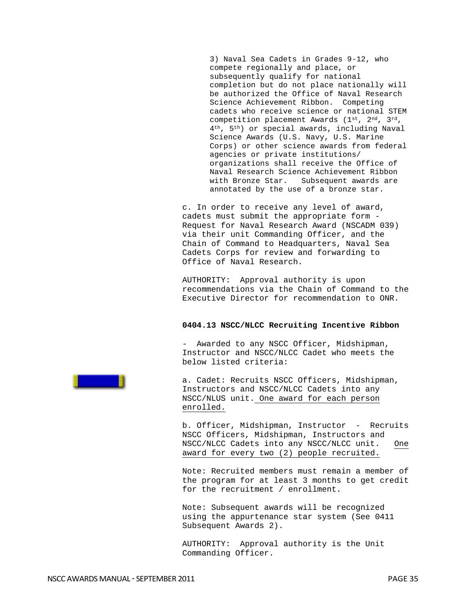3) Naval Sea Cadets in Grades 9-12, who compete regionally and place, or subsequently qualify for national completion but do not place nationally will be authorized the Office of Naval Research Science Achievement Ribbon. Competing cadets who receive science or national STEM competition placement Awards (1st, 2nd, 3rd, 4th, 5th) or special awards, including Naval Science Awards (U.S. Navy, U.S. Marine Corps) or other science awards from federal agencies or private institutions/ organizations shall receive the Office of Naval Research Science Achievement Ribbon with Bronze Star. Subsequent awards are annotated by the use of a bronze star.

c. In order to receive any level of award, cadets must submit the appropriate form - Request for Naval Research Award (NSCADM 039) via their unit Commanding Officer, and the Chain of Command to Headquarters, Naval Sea Cadets Corps for review and forwarding to Office of Naval Research.

AUTHORITY: Approval authority is upon recommendations via the Chain of Command to the Executive Director for recommendation to ONR.

#### **0404.13 NSCC/NLCC Recruiting Incentive Ribbon**

- Awarded to any NSCC Officer, Midshipman, Instructor and NSCC/NLCC Cadet who meets the below listed criteria:

a. Cadet: Recruits NSCC Officers, Midshipman, Instructors and NSCC/NLCC Cadets into any NSCC/NLUS unit. One award for each person enrolled.

b. Officer, Midshipman, Instructor - Recruits NSCC Officers, Midshipman, Instructors and NSCC/NLCC Cadets into any NSCC/NLCC unit. One award for every two (2) people recruited.

Note: Recruited members must remain a member of the program for at least 3 months to get credit for the recruitment / enrollment.

Note: Subsequent awards will be recognized using the appurtenance star system (See 0411 Subsequent Awards 2).

AUTHORITY: Approval authority is the Unit Commanding Officer.

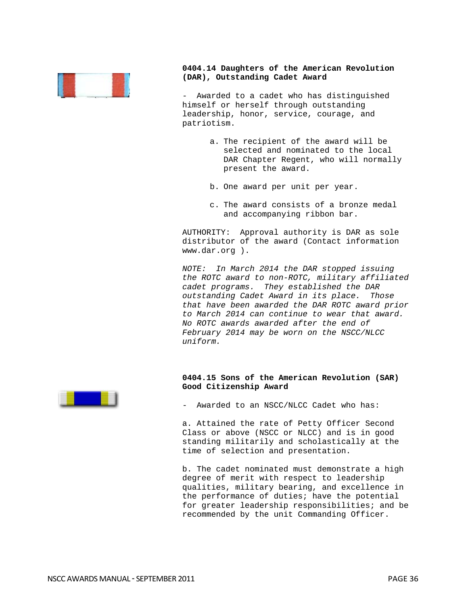

#### **0404.14 Daughters of the American Revolution (DAR), Outstanding Cadet Award**

- Awarded to a cadet who has distinguished himself or herself through outstanding leadership, honor, service, courage, and patriotism.

- a. The recipient of the award will be selected and nominated to the local DAR Chapter Regent, who will normally present the award.
- b. One award per unit per year.
- c. The award consists of a bronze medal and accompanying ribbon bar.

AUTHORITY: Approval authority is DAR as sole distributor of the award (Contact information www.dar.org ).

*NOTE: In March 2014 the DAR stopped issuing the ROTC award to non-ROTC, military affiliated cadet programs. They established the DAR outstanding Cadet Award in its place. Those that have been awarded the DAR ROTC award prior to March 2014 can continue to wear that award. No ROTC awards awarded after the end of February 2014 may be worn on the NSCC/NLCC uniform.*

#### **0404.15 Sons of the American Revolution (SAR) Good Citizenship Award**



- Awarded to an NSCC/NLCC Cadet who has:

a. Attained the rate of Petty Officer Second Class or above (NSCC or NLCC) and is in good standing militarily and scholastically at the time of selection and presentation.

b. The cadet nominated must demonstrate a high degree of merit with respect to leadership qualities, military bearing, and excellence in the performance of duties; have the potential for greater leadership responsibilities; and be recommended by the unit Commanding Officer.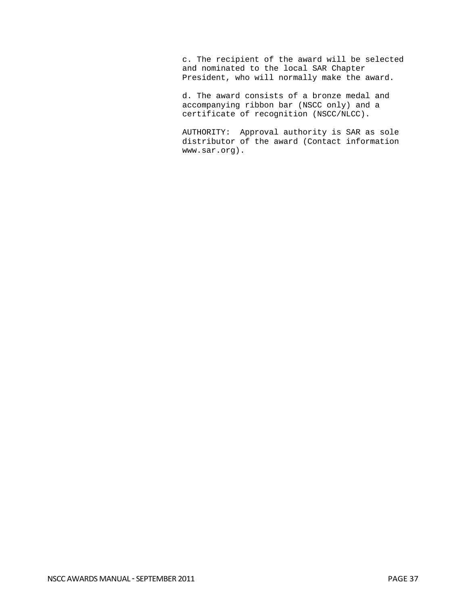c. The recipient of the award will be selected and nominated to the local SAR Chapter President, who will normally make the award.

d. The award consists of a bronze medal and accompanying ribbon bar (NSCC only) and a certificate of recognition (NSCC/NLCC).

AUTHORITY: Approval authority is SAR as sole distributor of the award (Contact information www.sar.org).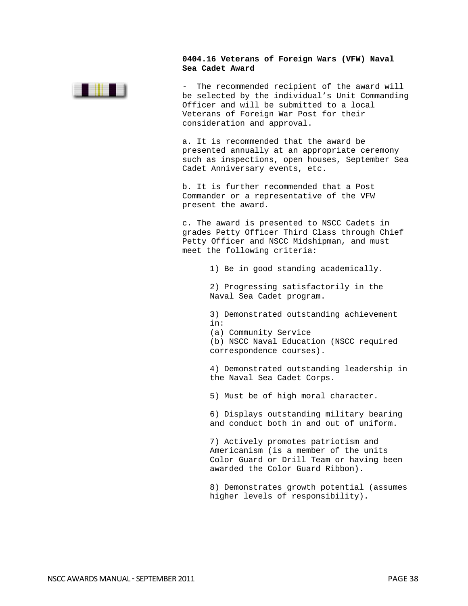#### **0404.16 Veterans of Foreign Wars (VFW) Naval Sea Cadet Award**



- The recommended recipient of the award will be selected by the individual's Unit Commanding Officer and will be submitted to a local Veterans of Foreign War Post for their consideration and approval.

a. It is recommended that the award be presented annually at an appropriate ceremony such as inspections, open houses, September Sea Cadet Anniversary events, etc.

b. It is further recommended that a Post Commander or a representative of the VFW present the award.

c. The award is presented to NSCC Cadets in grades Petty Officer Third Class through Chief Petty Officer and NSCC Midshipman, and must meet the following criteria:

1) Be in good standing academically.

2) Progressing satisfactorily in the Naval Sea Cadet program.

3) Demonstrated outstanding achievement in:

(a) Community Service

(b) NSCC Naval Education (NSCC required correspondence courses).

4) Demonstrated outstanding leadership in the Naval Sea Cadet Corps.

5) Must be of high moral character.

6) Displays outstanding military bearing and conduct both in and out of uniform.

7) Actively promotes patriotism and Americanism (is a member of the units Color Guard or Drill Team or having been awarded the Color Guard Ribbon).

8) Demonstrates growth potential (assumes higher levels of responsibility).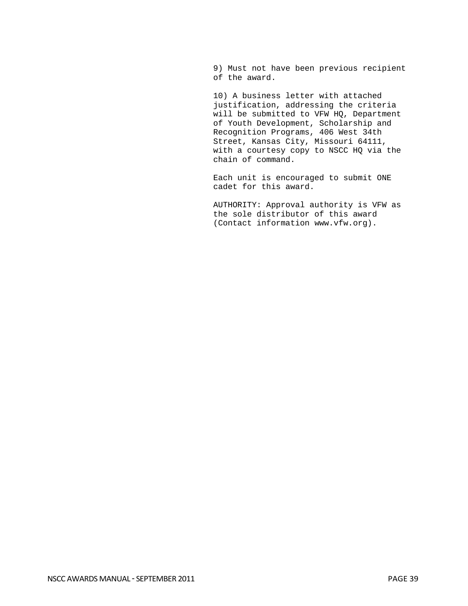9) Must not have been previous recipient of the award.

10) A business letter with attached justification, addressing the criteria will be submitted to VFW HQ, Department of Youth Development, Scholarship and Recognition Programs, 406 West 34th Street, Kansas City, Missouri 64111, with a courtesy copy to NSCC HQ via the chain of command.

Each unit is encouraged to submit ONE cadet for this award.

AUTHORITY: Approval authority is VFW as the sole distributor of this award (Contact information www.vfw.org).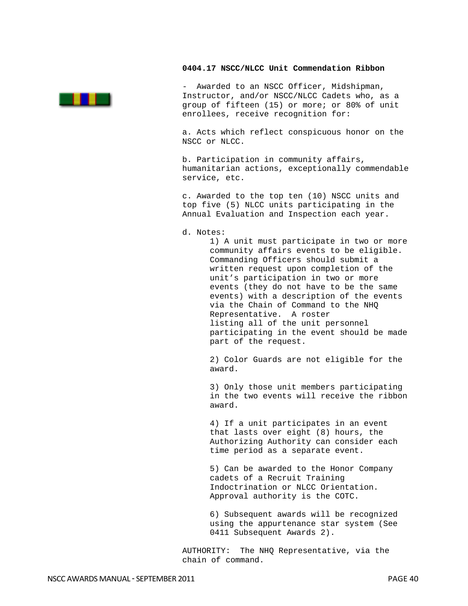#### **0404.17 NSCC/NLCC Unit Commendation Ribbon**



- Awarded to an NSCC Officer, Midshipman, Instructor, and/or NSCC/NLCC Cadets who, as a group of fifteen (15) or more; or 80% of unit enrollees, receive recognition for:

a. Acts which reflect conspicuous honor on the NSCC or NLCC.

b. Participation in community affairs, humanitarian actions, exceptionally commendable service, etc.

c. Awarded to the top ten (10) NSCC units and top five (5) NLCC units participating in the Annual Evaluation and Inspection each year.

d. Notes:

1) A unit must participate in two or more community affairs events to be eligible. Commanding Officers should submit a written request upon completion of the unit's participation in two or more events (they do not have to be the same events) with a description of the events via the Chain of Command to the NHQ Representative. A roster listing all of the unit personnel participating in the event should be made part of the request.

2) Color Guards are not eligible for the award.

3) Only those unit members participating in the two events will receive the ribbon award.

4) If a unit participates in an event that lasts over eight (8) hours, the Authorizing Authority can consider each time period as a separate event.

5) Can be awarded to the Honor Company cadets of a Recruit Training Indoctrination or NLCC Orientation. Approval authority is the COTC.

6) Subsequent awards will be recognized using the appurtenance star system (See 0411 Subsequent Awards 2).

AUTHORITY: The NHQ Representative, via the chain of command.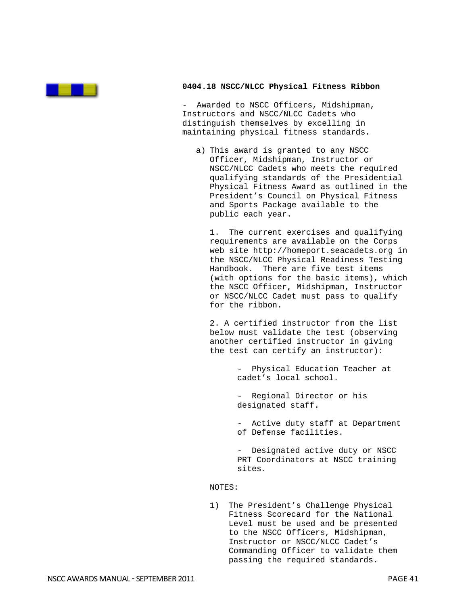# 

#### **0404.18 NSCC/NLCC Physical Fitness Ribbon**

Awarded to NSCC Officers, Midshipman, Instructors and NSCC/NLCC Cadets who distinguish themselves by excelling in maintaining physical fitness standards.

a) This award is granted to any NSCC Officer, Midshipman, Instructor or NSCC/NLCC Cadets who meets the required qualifying standards of the Presidential Physical Fitness Award as outlined in the President's Council on Physical Fitness and Sports Package available to the public each year.

1. The current exercises and qualifying requirements are available on the Corps web site http://homeport.seacadets.org in the NSCC/NLCC Physical Readiness Testing Handbook. There are five test items (with options for the basic items), which the NSCC Officer, Midshipman, Instructor or NSCC/NLCC Cadet must pass to qualify for the ribbon.

2. A certified instructor from the list below must validate the test (observing another certified instructor in giving the test can certify an instructor):

> - Physical Education Teacher at cadet's local school.

- Regional Director or his designated staff.

- Active duty staff at Department of Defense facilities.

- Designated active duty or NSCC PRT Coordinators at NSCC training sites.

#### NOTES:

1) The President's Challenge Physical Fitness Scorecard for the National Level must be used and be presented to the NSCC Officers, Midshipman, Instructor or NSCC/NLCC Cadet's Commanding Officer to validate them passing the required standards.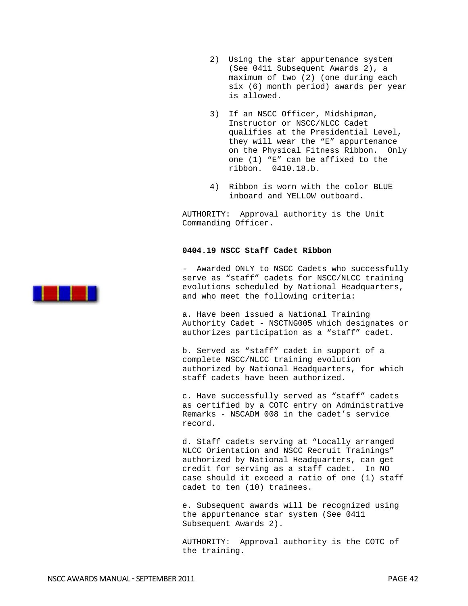- 2) Using the star appurtenance system (See 0411 Subsequent Awards 2), a maximum of two (2) (one during each six (6) month period) awards per year is allowed.
- 3) If an NSCC Officer, Midshipman, Instructor or NSCC/NLCC Cadet qualifies at the Presidential Level, they will wear the "E" appurtenance on the Physical Fitness Ribbon. Only one (1) "E" can be affixed to the ribbon. 0410.18.b.
- 4) Ribbon is worn with the color BLUE inboard and YELLOW outboard.

AUTHORITY: Approval authority is the Unit Commanding Officer.

#### **0404.19 NSCC Staff Cadet Ribbon**

- Awarded ONLY to NSCC Cadets who successfully serve as "staff" cadets for NSCC/NLCC training evolutions scheduled by National Headquarters, and who meet the following criteria:

a. Have been issued a National Training Authority Cadet - NSCTNG005 which designates or authorizes participation as a "staff" cadet.

b. Served as "staff" cadet in support of a complete NSCC/NLCC training evolution authorized by National Headquarters, for which staff cadets have been authorized.

c. Have successfully served as "staff" cadets as certified by a COTC entry on Administrative Remarks - NSCADM 008 in the cadet's service record.

d. Staff cadets serving at "Locally arranged NLCC Orientation and NSCC Recruit Trainings" authorized by National Headquarters, can get credit for serving as a staff cadet. In NO case should it exceed a ratio of one (1) staff cadet to ten (10) trainees.

e. Subsequent awards will be recognized using the appurtenance star system (See 0411 Subsequent Awards 2).

AUTHORITY: Approval authority is the COTC of the training.

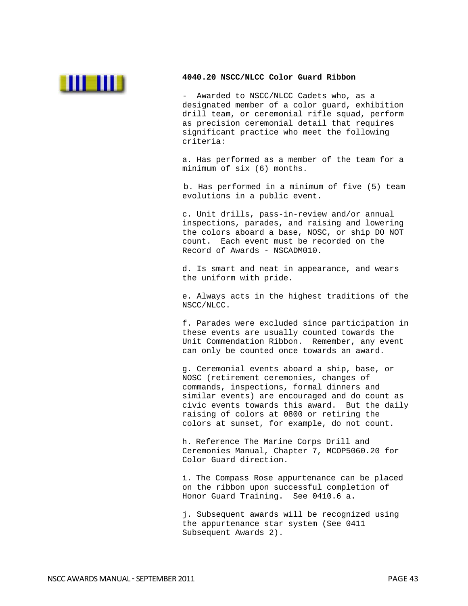

#### **4040.20 NSCC/NLCC Color Guard Ribbon**

- Awarded to NSCC/NLCC Cadets who, as a designated member of a color guard, exhibition drill team, or ceremonial rifle squad, perform as precision ceremonial detail that requires significant practice who meet the following criteria:

a. Has performed as a member of the team for a minimum of six (6) months.

b. Has performed in a minimum of five (5) team evolutions in a public event.

c. Unit drills, pass-in-review and/or annual inspections, parades, and raising and lowering the colors aboard a base, NOSC, or ship DO NOT count. Each event must be recorded on the Record of Awards - NSCADM010.

d. Is smart and neat in appearance, and wears the uniform with pride.

e. Always acts in the highest traditions of the NSCC/NLCC.

f. Parades were excluded since participation in these events are usually counted towards the Unit Commendation Ribbon. Remember, any event can only be counted once towards an award.

g. Ceremonial events aboard a ship, base, or NOSC (retirement ceremonies, changes of commands, inspections, formal dinners and similar events) are encouraged and do count as civic events towards this award. But the daily raising of colors at 0800 or retiring the colors at sunset, for example, do not count.

h. Reference The Marine Corps Drill and Ceremonies Manual, Chapter 7, MCOP5060.20 for Color Guard direction.

i. The Compass Rose appurtenance can be placed on the ribbon upon successful completion of Honor Guard Training. See 0410.6 a.

j. Subsequent awards will be recognized using the appurtenance star system (See 0411 Subsequent Awards 2).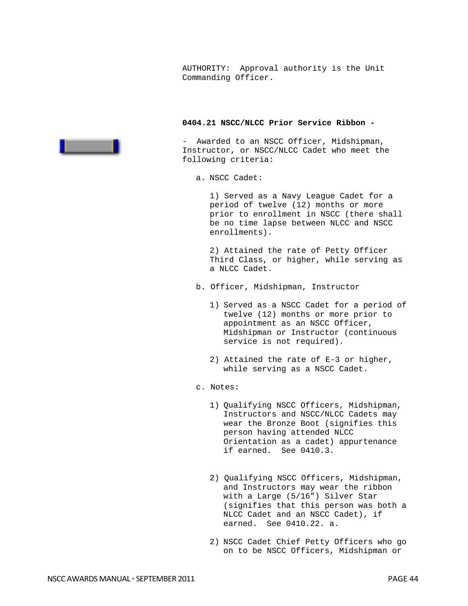AUTHORITY: Approval authority is the Unit Commanding Officer.

#### **0404.21 NSCC/NLCC Prior Service Ribbon -**

- Awarded to an NSCC Officer, Midshipman, Instructor, or NSCC/NLCC Cadet who meet the following criteria:

a. NSCC Cadet:

1) Served as a Navy League Cadet for a period of twelve (12) months or more prior to enrollment in NSCC (there shall be no time lapse between NLCC and NSCC enrollments).

2) Attained the rate of Petty Officer Third Class, or higher, while serving as a NLCC Cadet.

- b. Officer, Midshipman, Instructor
	- 1) Served as a NSCC Cadet for a period of twelve (12) months or more prior to appointment as an NSCC Officer, Midshipman or Instructor (continuous service is not required).
	- 2) Attained the rate of E-3 or higher, while serving as a NSCC Cadet.
- c. Notes:
	- 1) Qualifying NSCC Officers, Midshipman, Instructors and NSCC/NLCC Cadets may wear the Bronze Boot (signifies this person having attended NLCC Orientation as a cadet) appurtenance if earned. See 0410.3.
	- 2) Qualifying NSCC Officers, Midshipman, and Instructors may wear the ribbon with a Large (5/16") Silver Star (signifies that this person was both a NLCC Cadet and an NSCC Cadet), if earned. See 0410.22. a.
	- 2) NSCC Cadet Chief Petty Officers who go on to be NSCC Officers, Midshipman or

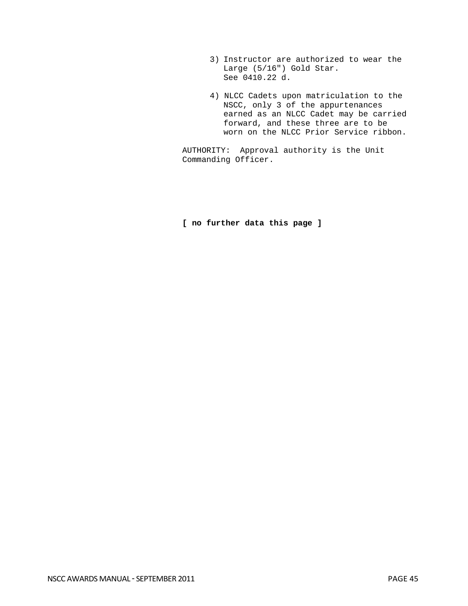- 3) Instructor are authorized to wear the Large (5/16") Gold Star. See 0410.22 d.
- 4) NLCC Cadets upon matriculation to the NSCC, only 3 of the appurtenances earned as an NLCC Cadet may be carried forward, and these three are to be worn on the NLCC Prior Service ribbon.

AUTHORITY: Approval authority is the Unit Commanding Officer.

### **[ no further data this page ]**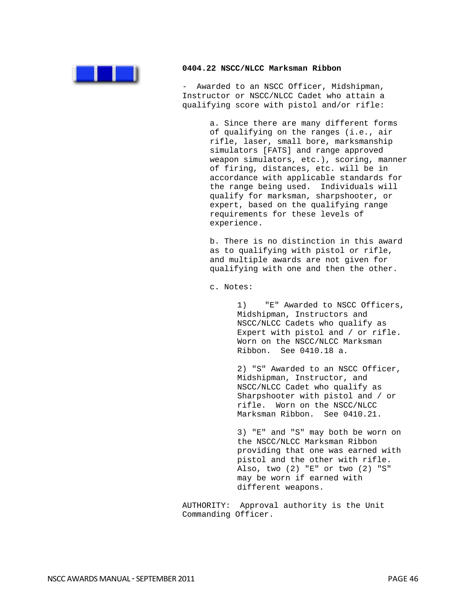

#### **0404.22 NSCC/NLCC Marksman Ribbon**

- Awarded to an NSCC Officer, Midshipman, Instructor or NSCC/NLCC Cadet who attain a qualifying score with pistol and/or rifle:

> a. Since there are many different forms of qualifying on the ranges (i.e., air rifle, laser, small bore, marksmanship simulators [FATS] and range approved weapon simulators, etc.), scoring, manner of firing, distances, etc. will be in accordance with applicable standards for the range being used. Individuals will qualify for marksman, sharpshooter, or expert, based on the qualifying range requirements for these levels of experience.

b. There is no distinction in this award as to qualifying with pistol or rifle, and multiple awards are not given for qualifying with one and then the other.

c. Notes:

1) "E" Awarded to NSCC Officers, Midshipman, Instructors and NSCC/NLCC Cadets who qualify as Expert with pistol and / or rifle. Worn on the NSCC/NLCC Marksman Ribbon. See 0410.18 a.

2) "S" Awarded to an NSCC Officer, Midshipman, Instructor, and NSCC/NLCC Cadet who qualify as Sharpshooter with pistol and / or rifle. Worn on the NSCC/NLCC Marksman Ribbon. See 0410.21.

3) "E" and "S" may both be worn on the NSCC/NLCC Marksman Ribbon providing that one was earned with pistol and the other with rifle. Also, two (2) "E" or two (2) "S" may be worn if earned with different weapons.

AUTHORITY: Approval authority is the Unit Commanding Officer.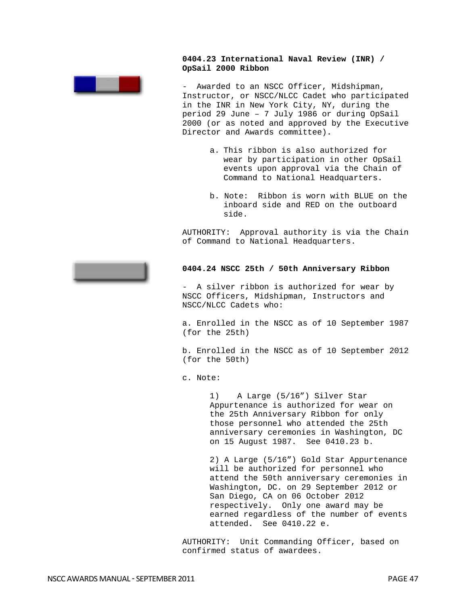

#### **0404.23 International Naval Review (INR) / OpSail 2000 Ribbon**

- Awarded to an NSCC Officer, Midshipman, Instructor, or NSCC/NLCC Cadet who participated in the INR in New York City, NY, during the period 29 June – 7 July 1986 or during OpSail 2000 (or as noted and approved by the Executive Director and Awards committee).

- a. This ribbon is also authorized for wear by participation in other OpSail events upon approval via the Chain of Command to National Headquarters.
- b. Note: Ribbon is worn with BLUE on the inboard side and RED on the outboard side.

AUTHORITY: Approval authority is via the Chain of Command to National Headquarters.

#### **0404.24 NSCC 25th / 50th Anniversary Ribbon**

- A silver ribbon is authorized for wear by NSCC Officers, Midshipman, Instructors and NSCC/NLCC Cadets who:

a. Enrolled in the NSCC as of 10 September 1987 (for the 25th)

b. Enrolled in the NSCC as of 10 September 2012 (for the 50th)

c. Note:

1) A Large (5/16") Silver Star Appurtenance is authorized for wear on the 25th Anniversary Ribbon for only those personnel who attended the 25th anniversary ceremonies in Washington, DC on 15 August 1987. See 0410.23 b.

2) A Large (5/16") Gold Star Appurtenance will be authorized for personnel who attend the 50th anniversary ceremonies in Washington, DC. on 29 September 2012 or San Diego, CA on 06 October 2012 respectively. Only one award may be earned regardless of the number of events attended. See 0410.22 e.

AUTHORITY: Unit Commanding Officer, based on confirmed status of awardees.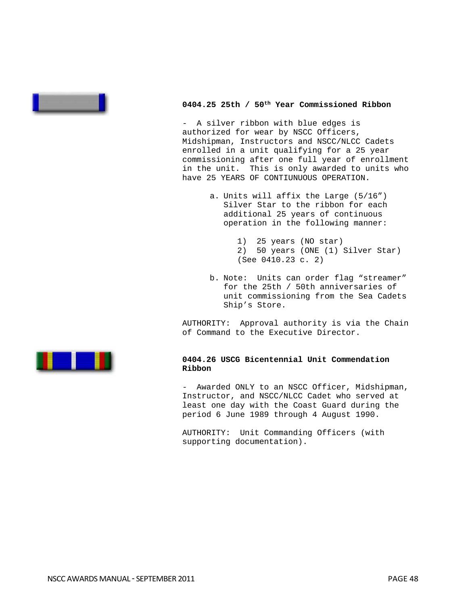

#### **0404.25 25th / 50th Year Commissioned Ribbon**

- A silver ribbon with blue edges is authorized for wear by NSCC Officers, Midshipman, Instructors and NSCC/NLCC Cadets enrolled in a unit qualifying for a 25 year commissioning after one full year of enrollment in the unit. This is only awarded to units who have 25 YEARS OF CONTIUNUOUS OPERATION.

- a. Units will affix the Large (5/16") Silver Star to the ribbon for each additional 25 years of continuous operation in the following manner:
	- 1) 25 years (NO star) 2) 50 years (ONE (1) Silver Star) (See 0410.23 c. 2)
- b. Note: Units can order flag "streamer" for the 25th / 50th anniversaries of unit commissioning from the Sea Cadets Ship's Store.

AUTHORITY: Approval authority is via the Chain of Command to the Executive Director.



#### **0404.26 USCG Bicentennial Unit Commendation Ribbon**

- Awarded ONLY to an NSCC Officer, Midshipman, Instructor, and NSCC/NLCC Cadet who served at least one day with the Coast Guard during the period 6 June 1989 through 4 August 1990.

AUTHORITY: Unit Commanding Officers (with supporting documentation).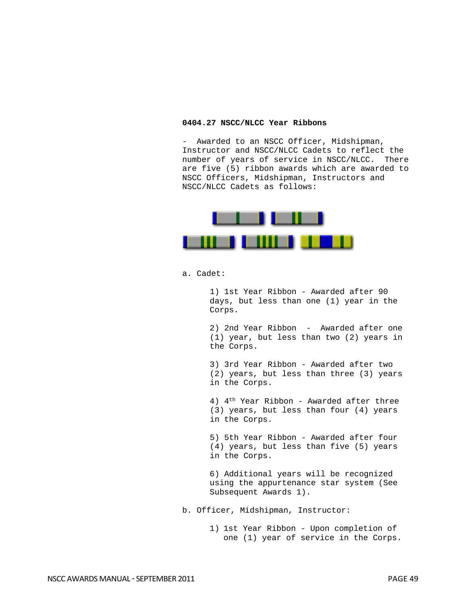#### **0404.27 NSCC/NLCC Year Ribbons**

- Awarded to an NSCC Officer, Midshipman, Instructor and NSCC/NLCC Cadets to reflect the number of years of service in NSCC/NLCC. There are five (5) ribbon awards which are awarded to NSCC Officers, Midshipman, Instructors and NSCC/NLCC Cadets as follows:



a. Cadet:

1) 1st Year Ribbon - Awarded after 90 days, but less than one (1) year in the Corps.

2) 2nd Year Ribbon - Awarded after one (1) year, but less than two (2) years in the Corps.

3) 3rd Year Ribbon - Awarded after two (2) years, but less than three (3) years in the Corps.

4) 4th Year Ribbon - Awarded after three (3) years, but less than four (4) years in the Corps.

5) 5th Year Ribbon - Awarded after four (4) years, but less than five (5) years in the Corps.

6) Additional years will be recognized using the appurtenance star system (See Subsequent Awards 1).

b. Officer, Midshipman, Instructor:

1) 1st Year Ribbon - Upon completion of one (1) year of service in the Corps.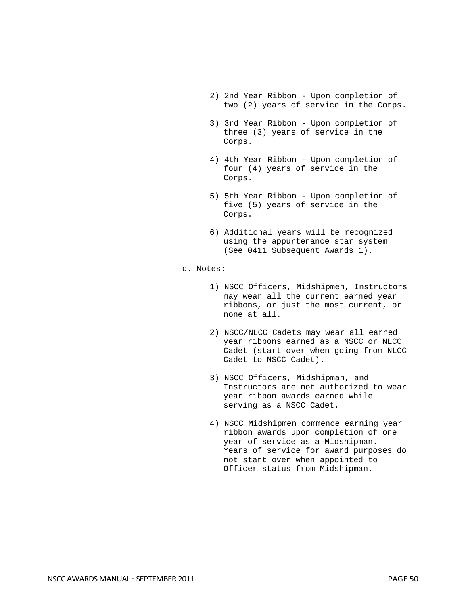- 2) 2nd Year Ribbon Upon completion of two (2) years of service in the Corps.
- 3) 3rd Year Ribbon Upon completion of three (3) years of service in the Corps.
- 4) 4th Year Ribbon Upon completion of four (4) years of service in the Corps.
- 5) 5th Year Ribbon Upon completion of five (5) years of service in the Corps.
- 6) Additional years will be recognized using the appurtenance star system (See 0411 Subsequent Awards 1).
- c. Notes:
	- 1) NSCC Officers, Midshipmen, Instructors may wear all the current earned year ribbons, or just the most current, or none at all.
	- 2) NSCC/NLCC Cadets may wear all earned year ribbons earned as a NSCC or NLCC Cadet (start over when going from NLCC Cadet to NSCC Cadet).
	- 3) NSCC Officers, Midshipman, and Instructors are not authorized to wear year ribbon awards earned while serving as a NSCC Cadet.
	- 4) NSCC Midshipmen commence earning year ribbon awards upon completion of one year of service as a Midshipman. Years of service for award purposes do not start over when appointed to Officer status from Midshipman.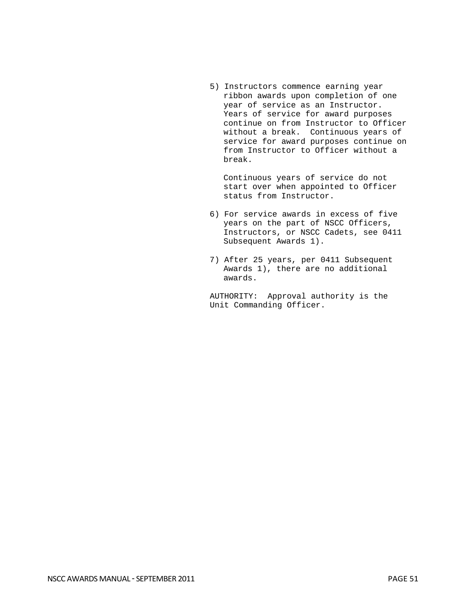5) Instructors commence earning year ribbon awards upon completion of one year of service as an Instructor. Years of service for award purposes continue on from Instructor to Officer without a break. Continuous years of service for award purposes continue on from Instructor to Officer without a break.

Continuous years of service do not start over when appointed to Officer status from Instructor.

- 6) For service awards in excess of five years on the part of NSCC Officers, Instructors, or NSCC Cadets, see 0411 Subsequent Awards 1).
- 7) After 25 years, per 0411 Subsequent Awards 1), there are no additional awards.

AUTHORITY: Approval authority is the Unit Commanding Officer.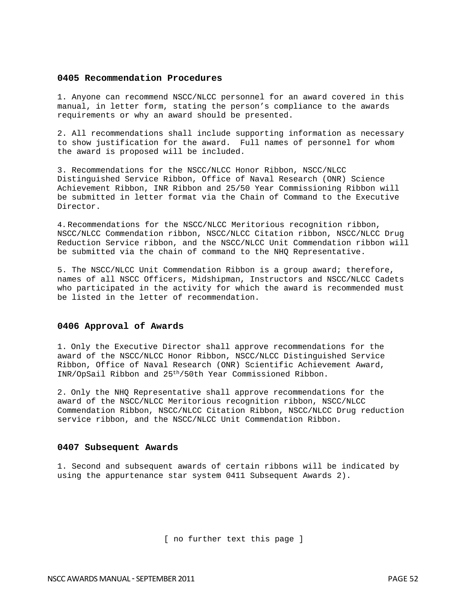#### **0405 Recommendation Procedures**

1. Anyone can recommend NSCC/NLCC personnel for an award covered in this manual, in letter form, stating the person's compliance to the awards requirements or why an award should be presented.

2. All recommendations shall include supporting information as necessary to show justification for the award. Full names of personnel for whom the award is proposed will be included.

3. Recommendations for the NSCC/NLCC Honor Ribbon, NSCC/NLCC Distinguished Service Ribbon, Office of Naval Research (ONR) Science Achievement Ribbon, INR Ribbon and 25/50 Year Commissioning Ribbon will be submitted in letter format via the Chain of Command to the Executive Director.

4.Recommendations for the NSCC/NLCC Meritorious recognition ribbon, NSCC/NLCC Commendation ribbon, NSCC/NLCC Citation ribbon, NSCC/NLCC Drug Reduction Service ribbon, and the NSCC/NLCC Unit Commendation ribbon will be submitted via the chain of command to the NHQ Representative.

5. The NSCC/NLCC Unit Commendation Ribbon is a group award; therefore, names of all NSCC Officers, Midshipman, Instructors and NSCC/NLCC Cadets who participated in the activity for which the award is recommended must be listed in the letter of recommendation.

#### **0406 Approval of Awards**

1. Only the Executive Director shall approve recommendations for the award of the NSCC/NLCC Honor Ribbon, NSCC/NLCC Distinguished Service Ribbon, Office of Naval Research (ONR) Scientific Achievement Award, INR/OpSail Ribbon and 25th/50th Year Commissioned Ribbon.

2. Only the NHQ Representative shall approve recommendations for the award of the NSCC/NLCC Meritorious recognition ribbon, NSCC/NLCC Commendation Ribbon, NSCC/NLCC Citation Ribbon, NSCC/NLCC Drug reduction service ribbon, and the NSCC/NLCC Unit Commendation Ribbon.

#### **0407 Subsequent Awards**

1. Second and subsequent awards of certain ribbons will be indicated by using the appurtenance star system 0411 Subsequent Awards 2).

[ no further text this page ]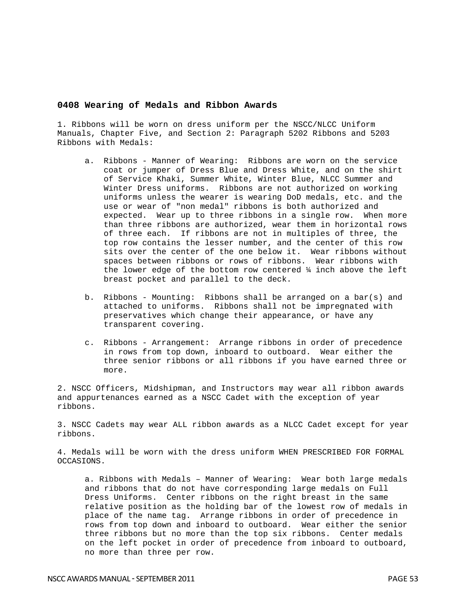#### **0408 Wearing of Medals and Ribbon Awards**

1. Ribbons will be worn on dress uniform per the NSCC/NLCC Uniform Manuals, Chapter Five, and Section 2: Paragraph 5202 Ribbons and 5203 Ribbons with Medals:

- a. Ribbons Manner of Wearing: Ribbons are worn on the service coat or jumper of Dress Blue and Dress White, and on the shirt of Service Khaki, Summer White, Winter Blue, NLCC Summer and Winter Dress uniforms. Ribbons are not authorized on working uniforms unless the wearer is wearing DoD medals, etc. and the use or wear of "non medal" ribbons is both authorized and expected. Wear up to three ribbons in a single row. When more than three ribbons are authorized, wear them in horizontal rows of three each. If ribbons are not in multiples of three, the top row contains the lesser number, and the center of this row sits over the center of the one below it. Wear ribbons without spaces between ribbons or rows of ribbons. Wear ribbons with the lower edge of the bottom row centered ¼ inch above the left breast pocket and parallel to the deck.
- b. Ribbons Mounting: Ribbons shall be arranged on a bar(s) and attached to uniforms. Ribbons shall not be impregnated with preservatives which change their appearance, or have any transparent covering.
- c. Ribbons Arrangement: Arrange ribbons in order of precedence in rows from top down, inboard to outboard. Wear either the three senior ribbons or all ribbons if you have earned three or more.

2. NSCC Officers, Midshipman, and Instructors may wear all ribbon awards and appurtenances earned as a NSCC Cadet with the exception of year ribbons.

3. NSCC Cadets may wear ALL ribbon awards as a NLCC Cadet except for year ribbons.

4. Medals will be worn with the dress uniform WHEN PRESCRIBED FOR FORMAL OCCASIONS.

a. Ribbons with Medals – Manner of Wearing: Wear both large medals and ribbons that do not have corresponding large medals on Full Dress Uniforms. Center ribbons on the right breast in the same relative position as the holding bar of the lowest row of medals in place of the name tag. Arrange ribbons in order of precedence in rows from top down and inboard to outboard. Wear either the senior three ribbons but no more than the top six ribbons. Center medals on the left pocket in order of precedence from inboard to outboard, no more than three per row.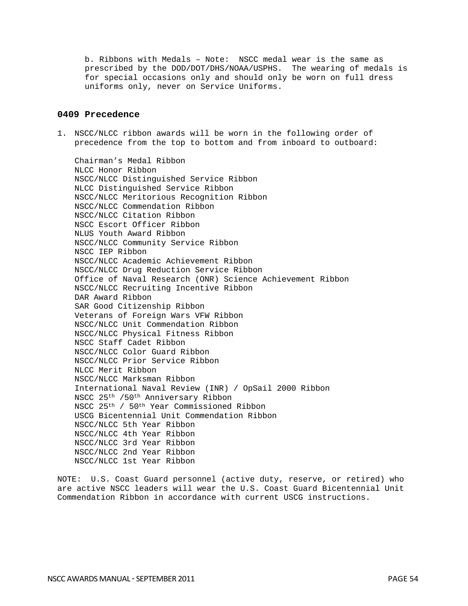b. Ribbons with Medals – Note: NSCC medal wear is the same as prescribed by the DOD/DOT/DHS/NOAA/USPHS. The wearing of medals is for special occasions only and should only be worn on full dress uniforms only, never on Service Uniforms.

#### **0409 Precedence**

1. NSCC/NLCC ribbon awards will be worn in the following order of precedence from the top to bottom and from inboard to outboard:

Chairman's Medal Ribbon NLCC Honor Ribbon NSCC/NLCC Distinguished Service Ribbon NLCC Distinguished Service Ribbon NSCC/NLCC Meritorious Recognition Ribbon NSCC/NLCC Commendation Ribbon NSCC/NLCC Citation Ribbon NSCC Escort Officer Ribbon NLUS Youth Award Ribbon NSCC/NLCC Community Service Ribbon NSCC IEP Ribbon NSCC/NLCC Academic Achievement Ribbon NSCC/NLCC Drug Reduction Service Ribbon Office of Naval Research (ONR) Science Achievement Ribbon NSCC/NLCC Recruiting Incentive Ribbon DAR Award Ribbon SAR Good Citizenship Ribbon Veterans of Foreign Wars VFW Ribbon NSCC/NLCC Unit Commendation Ribbon NSCC/NLCC Physical Fitness Ribbon NSCC Staff Cadet Ribbon NSCC/NLCC Color Guard Ribbon NSCC/NLCC Prior Service Ribbon NLCC Merit Ribbon NSCC/NLCC Marksman Ribbon International Naval Review (INR) / OpSail 2000 Ribbon NSCC 25th /50th Anniversary Ribbon NSCC 25th / 50th Year Commissioned Ribbon USCG Bicentennial Unit Commendation Ribbon NSCC/NLCC 5th Year Ribbon NSCC/NLCC 4th Year Ribbon NSCC/NLCC 3rd Year Ribbon NSCC/NLCC 2nd Year Ribbon NSCC/NLCC 1st Year Ribbon

NOTE: U.S. Coast Guard personnel (active duty, reserve, or retired) who are active NSCC leaders will wear the U.S. Coast Guard Bicentennial Unit Commendation Ribbon in accordance with current USCG instructions.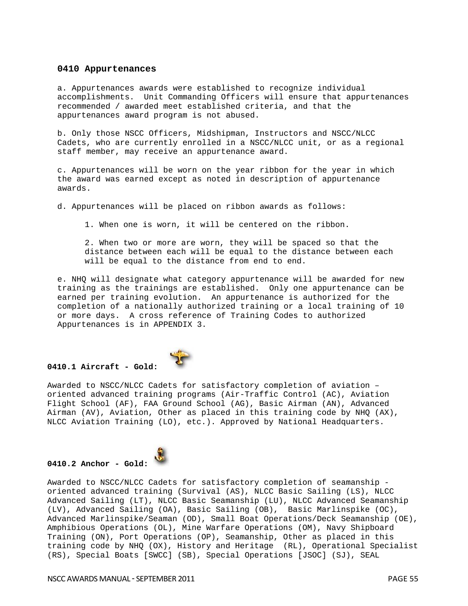#### **0410 Appurtenances**

a. Appurtenances awards were established to recognize individual accomplishments. Unit Commanding Officers will ensure that appurtenances recommended / awarded meet established criteria, and that the appurtenances award program is not abused.

b. Only those NSCC Officers, Midshipman, Instructors and NSCC/NLCC Cadets, who are currently enrolled in a NSCC/NLCC unit, or as a regional staff member, may receive an appurtenance award.

c. Appurtenances will be worn on the year ribbon for the year in which the award was earned except as noted in description of appurtenance awards.

d. Appurtenances will be placed on ribbon awards as follows:

1. When one is worn, it will be centered on the ribbon.

2. When two or more are worn, they will be spaced so that the distance between each will be equal to the distance between each will be equal to the distance from end to end.

e. NHQ will designate what category appurtenance will be awarded for new training as the trainings are established. Only one appurtenance can be earned per training evolution. An appurtenance is authorized for the completion of a nationally authorized training or a local training of 10 or more days. A cross reference of Training Codes to authorized Appurtenances is in APPENDIX 3.

#### **0410.1 Aircraft - Gold:**

Awarded to NSCC/NLCC Cadets for satisfactory completion of aviation – oriented advanced training programs (Air-Traffic Control (AC), Aviation Flight School (AF), FAA Ground School (AG), Basic Airman (AN), Advanced Airman (AV), Aviation, Other as placed in this training code by NHQ (AX), NLCC Aviation Training (LO), etc.). Approved by National Headquarters.

#### **0410.2 Anchor - Gold:**



Awarded to NSCC/NLCC Cadets for satisfactory completion of seamanship oriented advanced training (Survival (AS), NLCC Basic Sailing (LS), NLCC Advanced Sailing (LT), NLCC Basic Seamanship (LU), NLCC Advanced Seamanship (LV), Advanced Sailing (OA), Basic Sailing (OB), Basic Marlinspike (OC), Advanced Marlinspike/Seaman (OD), Small Boat Operations/Deck Seamanship (OE), Amphibious Operations (OL), Mine Warfare Operations (OM), Navy Shipboard Training (ON), Port Operations (OP), Seamanship, Other as placed in this training code by NHQ (OX), History and Heritage (RL), Operational Specialist (RS), Special Boats [SWCC] (SB), Special Operations [JSOC] (SJ), SEAL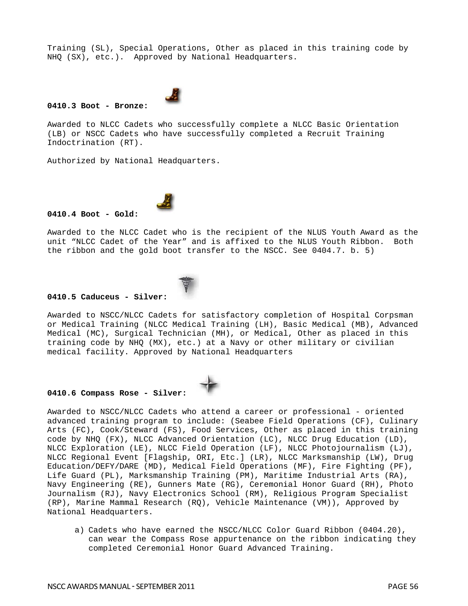Training (SL), Special Operations, Other as placed in this training code by NHQ (SX), etc.). Approved by National Headquarters.

**0410.3 Boot - Bronze:** 

Awarded to NLCC Cadets who successfully complete a NLCC Basic Orientation (LB) or NSCC Cadets who have successfully completed a Recruit Training Indoctrination (RT).

Authorized by National Headquarters.



**0410.4 Boot - Gold:** 

Awarded to the NLCC Cadet who is the recipient of the NLUS Youth Award as the unit "NLCC Cadet of the Year" and is affixed to the NLUS Youth Ribbon. Both the ribbon and the gold boot transfer to the NSCC. See 0404.7. b. 5)



#### **0410.5 Caduceus - Silver:**

Awarded to NSCC/NLCC Cadets for satisfactory completion of Hospital Corpsman or Medical Training (NLCC Medical Training (LH), Basic Medical (MB), Advanced Medical (MC), Surgical Technician (MH), or Medical, Other as placed in this training code by NHQ (MX), etc.) at a Navy or other military or civilian medical facility. Approved by National Headquarters



Awarded to NSCC/NLCC Cadets who attend a career or professional - oriented advanced training program to include: (Seabee Field Operations (CF), Culinary Arts (FC), Cook/Steward (FS), Food Services, Other as placed in this training code by NHQ (FX), NLCC Advanced Orientation (LC), NLCC Drug Education (LD), NLCC Exploration (LE), NLCC Field Operation (LF), NLCC Photojournalism (LJ), NLCC Regional Event [Flagship, ORI, Etc.] (LR), NLCC Marksmanship (LW), Drug Education/DEFY/DARE (MD), Medical Field Operations (MF), Fire Fighting (PF), Life Guard (PL), Marksmanship Training (PM), Maritime Industrial Arts (RA), Navy Engineering (RE), Gunners Mate (RG), Ceremonial Honor Guard (RH), Photo Journalism (RJ), Navy Electronics School (RM), Religious Program Specialist (RP), Marine Mammal Research (RQ), Vehicle Maintenance (VM)), Approved by National Headquarters.

a) Cadets who have earned the NSCC/NLCC Color Guard Ribbon (0404.20), can wear the Compass Rose appurtenance on the ribbon indicating they completed Ceremonial Honor Guard Advanced Training.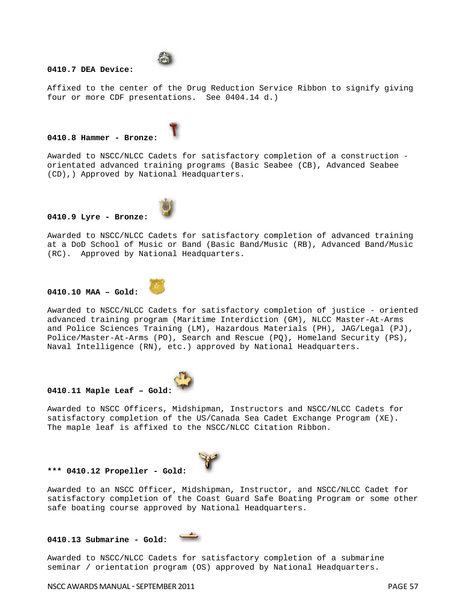

#### **0410.7 DEA Device:**

Affixed to the center of the Drug Reduction Service Ribbon to signify giving four or more CDF presentations. See 0404.14 d.)

#### **0410.8 Hammer - Bronze:**

Awarded to NSCC/NLCC Cadets for satisfactory completion of a construction orientated advanced training programs (Basic Seabee (CB), Advanced Seabee (CD),) Approved by National Headquarters.

**0410.9 Lyre - Bronze:** 



Awarded to NSCC/NLCC Cadets for satisfactory completion of advanced training at a DoD School of Music or Band (Basic Band/Music (RB), Advanced Band/Music (RC). Approved by National Headquarters.

# **0410.10 MAA – Gold:**



Awarded to NSCC/NLCC Cadets for satisfactory completion of justice - oriented advanced training program (Maritime Interdiction (GM), NLCC Master-At-Arms and Police Sciences Training (LM), Hazardous Materials (PH), JAG/Legal (PJ), Police/Master-At-Arms (PO), Search and Rescue (PQ), Homeland Security (PS), Naval Intelligence (RN), etc.) approved by National Headquarters.



#### **0410.11 Maple Leaf – Gold:**

Awarded to NSCC Officers, Midshipman, Instructors and NSCC/NLCC Cadets for satisfactory completion of the US/Canada Sea Cadet Exchange Program (XE). The maple leaf is affixed to the NSCC/NLCC Citation Ribbon.



Awarded to an NSCC Officer, Midshipman, Instructor, and NSCC/NLCC Cadet for satisfactory completion of the Coast Guard Safe Boating Program or some other safe boating course approved by National Headquarters.

**0410.13 Submarine - Gold:** 

Awarded to NSCC/NLCC Cadets for satisfactory completion of a submarine seminar / orientation program (OS) approved by National Headquarters.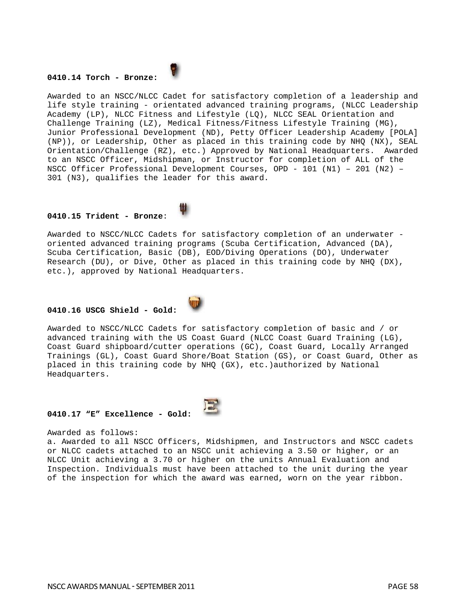#### **0410.14 Torch - Bronze:**

Awarded to an NSCC/NLCC Cadet for satisfactory completion of a leadership and life style training - orientated advanced training programs, (NLCC Leadership Academy (LP), NLCC Fitness and Lifestyle (LQ), NLCC SEAL Orientation and Challenge Training (LZ), Medical Fitness/Fitness Lifestyle Training (MG), Junior Professional Development (ND), Petty Officer Leadership Academy [POLA] (NP)), or Leadership, Other as placed in this training code by NHQ (NX), SEAL Orientation/Challenge (RZ), etc.) Approved by National Headquarters. Awarded to an NSCC Officer, Midshipman, or Instructor for completion of ALL of the NSCC Officer Professional Development Courses, OPD - 101 (N1) – 201 (N2) – 301 (N3), qualifies the leader for this award.

#### **0410.15 Trident - Bronze**:

Awarded to NSCC/NLCC Cadets for satisfactory completion of an underwater oriented advanced training programs (Scuba Certification, Advanced (DA), Scuba Certification, Basic (DB), EOD/Diving Operations (DO), Underwater Research (DU), or Dive, Other as placed in this training code by NHQ (DX), etc.), approved by National Headquarters.

#### **0410.16 USCG Shield - Gold:**



Awarded to NSCC/NLCC Cadets for satisfactory completion of basic and / or advanced training with the US Coast Guard (NLCC Coast Guard Training (LG), Coast Guard shipboard/cutter operations (GC), Coast Guard, Locally Arranged Trainings (GL), Coast Guard Shore/Boat Station (GS), or Coast Guard, Other as placed in this training code by NHQ (GX), etc.)authorized by National Headquarters.

#### **0410.17 "E" Excellence - Gold:**

#### Awarded as follows:

a. Awarded to all NSCC Officers, Midshipmen, and Instructors and NSCC cadets or NLCC cadets attached to an NSCC unit achieving a 3.50 or higher, or an NLCC Unit achieving a 3.70 or higher on the units Annual Evaluation and Inspection. Individuals must have been attached to the unit during the year of the inspection for which the award was earned, worn on the year ribbon.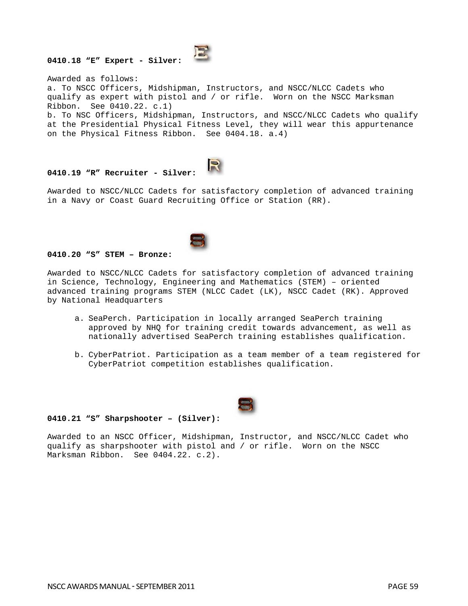#### **0410.18 "E" Expert - Silver:**

Awarded as follows: a. To NSCC Officers, Midshipman, Instructors, and NSCC/NLCC Cadets who qualify as expert with pistol and / or rifle. Worn on the NSCC Marksman Ribbon. See 0410.22. c.1) b. To NSC Officers, Midshipman, Instructors, and NSCC/NLCC Cadets who qualify at the Presidential Physical Fitness Level, they will wear this appurtenance on the Physical Fitness Ribbon. See 0404.18. a.4)

#### **0410.19 "R" Recruiter - Silver:**



Awarded to NSCC/NLCC Cadets for satisfactory completion of advanced training in a Navy or Coast Guard Recruiting Office or Station (RR).



Awarded to NSCC/NLCC Cadets for satisfactory completion of advanced training in Science, Technology, Engineering and Mathematics (STEM) – oriented advanced training programs STEM (NLCC Cadet (LK), NSCC Cadet (RK). Approved by National Headquarters

- a. SeaPerch. Participation in locally arranged SeaPerch training approved by NHQ for training credit towards advancement, as well as nationally advertised SeaPerch training establishes qualification.
- b. CyberPatriot. Participation as a team member of a team registered for CyberPatriot competition establishes qualification.

#### **0410.21 "S" Sharpshooter – (Silver):**

Awarded to an NSCC Officer, Midshipman, Instructor, and NSCC/NLCC Cadet who qualify as sharpshooter with pistol and / or rifle. Worn on the NSCC Marksman Ribbon. See 0404.22. c.2).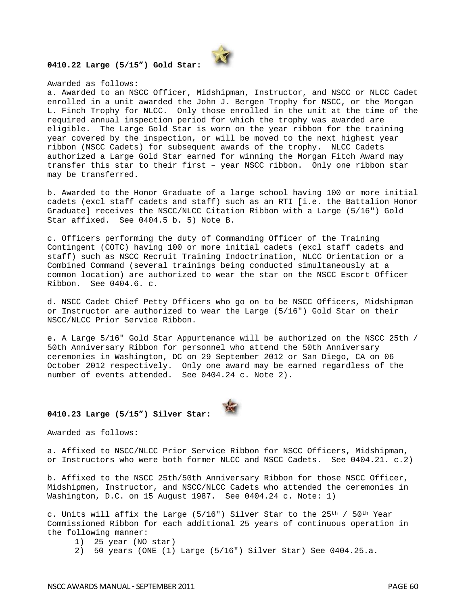

#### **0410.22 Large (5/15") Gold Star:**

#### Awarded as follows:

a. Awarded to an NSCC Officer, Midshipman, Instructor, and NSCC or NLCC Cadet enrolled in a unit awarded the John J. Bergen Trophy for NSCC, or the Morgan L. Finch Trophy for NLCC. Only those enrolled in the unit at the time of the required annual inspection period for which the trophy was awarded are eligible. The Large Gold Star is worn on the year ribbon for the training year covered by the inspection, or will be moved to the next highest year ribbon (NSCC Cadets) for subsequent awards of the trophy. NLCC Cadets authorized a Large Gold Star earned for winning the Morgan Fitch Award may transfer this star to their first – year NSCC ribbon. Only one ribbon star may be transferred.

b. Awarded to the Honor Graduate of a large school having 100 or more initial cadets (excl staff cadets and staff) such as an RTI [i.e. the Battalion Honor Graduate] receives the NSCC/NLCC Citation Ribbon with a Large (5/16") Gold Star affixed. See 0404.5 b. 5) Note B.

c. Officers performing the duty of Commanding Officer of the Training Contingent (COTC) having 100 or more initial cadets (excl staff cadets and staff) such as NSCC Recruit Training Indoctrination, NLCC Orientation or a Combined Command (several trainings being conducted simultaneously at a common location) are authorized to wear the star on the NSCC Escort Officer Ribbon. See 0404.6. c.

d. NSCC Cadet Chief Petty Officers who go on to be NSCC Officers, Midshipman or Instructor are authorized to wear the Large (5/16") Gold Star on their NSCC/NLCC Prior Service Ribbon.

e. A Large 5/16" Gold Star Appurtenance will be authorized on the NSCC 25th / 50th Anniversary Ribbon for personnel who attend the 50th Anniversary ceremonies in Washington, DC on 29 September 2012 or San Diego, CA on 06 October 2012 respectively. Only one award may be earned regardless of the number of events attended. See 0404.24 c. Note 2).

#### **0410.23 Large (5/15") Silver Star:**

Awarded as follows:

a. Affixed to NSCC/NLCC Prior Service Ribbon for NSCC Officers, Midshipman, or Instructors who were both former NLCC and NSCC Cadets. See 0404.21. c.2)

b. Affixed to the NSCC 25th/50th Anniversary Ribbon for those NSCC Officer, Midshipmen, Instructor, and NSCC/NLCC Cadets who attended the ceremonies in Washington, D.C. on 15 August 1987. See 0404.24 c. Note: 1)

c. Units will affix the Large (5/16") Silver Star to the 25<sup>th</sup> / 50<sup>th</sup> Year Commissioned Ribbon for each additional 25 years of continuous operation in the following manner:

- 1) 25 year (NO star)
- 2) 50 years (ONE (1) Large (5/16") Silver Star) See 0404.25.a.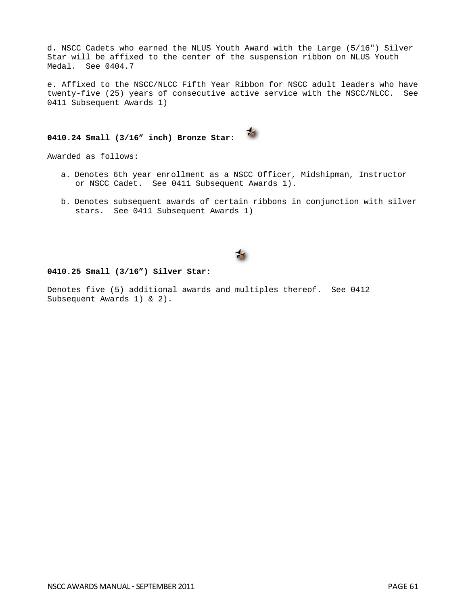d. NSCC Cadets who earned the NLUS Youth Award with the Large (5/16") Silver Star will be affixed to the center of the suspension ribbon on NLUS Youth Medal. See 0404.7

e. Affixed to the NSCC/NLCC Fifth Year Ribbon for NSCC adult leaders who have twenty-five (25) years of consecutive active service with the NSCC/NLCC. See 0411 Subsequent Awards 1)

# **0410.24 Small (3/16" inch) Bronze Star:**

Awarded as follows:

- a. Denotes 6th year enrollment as a NSCC Officer, Midshipman, Instructor or NSCC Cadet. See 0411 Subsequent Awards 1).
- b. Denotes subsequent awards of certain ribbons in conjunction with silver stars. See 0411 Subsequent Awards 1)

#### **0410.25 Small (3/16") Silver Star:**

Denotes five (5) additional awards and multiples thereof. See 0412 Subsequent Awards 1) & 2).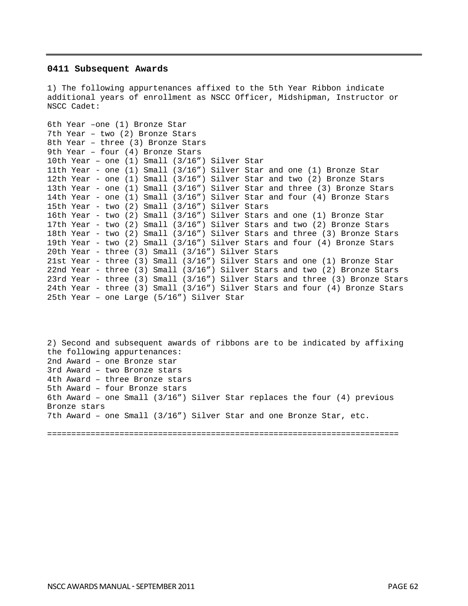#### **0411 Subsequent Awards**

1) The following appurtenances affixed to the 5th Year Ribbon indicate additional years of enrollment as NSCC Officer, Midshipman, Instructor or NSCC Cadet:

```
6th Year –one (1) Bronze Star
7th Year – two (2) Bronze Stars
8th Year – three (3) Bronze Stars
9th Year – four (4) Bronze Stars
10th Year – one (1) Small (3/16") Silver Star
11th Year - one (1) Small (3/16") Silver Star and one (1) Bronze Star
12th Year - one (1) Small (3/16") Silver Star and two (2) Bronze Stars
13th Year - one (1) Small (3/16") Silver Star and three (3) Bronze Stars
14th Year - one (1) Small (3/16") Silver Star and four (4) Bronze Stars
15th Year - two (2) Small (3/16") Silver Stars
16th Year - two (2) Small (3/16") Silver Stars and one (1) Bronze Star
17th Year - two (2) Small (3/16") Silver Stars and two (2) Bronze Stars
18th Year - two (2) Small (3/16") Silver Stars and three (3) Bronze Stars
19th Year - two (2) Small (3/16") Silver Stars and four (4) Bronze Stars
20th Year - three (3) Small (3/16") Silver Stars 
21st Year - three (3) Small (3/16") Silver Stars and one (1) Bronze Star
22nd Year - three (3) Small (3/16") Silver Stars and two (2) Bronze Stars
23rd Year - three (3) Small (3/16") Silver Stars and three (3) Bronze Stars
24th Year - three (3) Small (3/16") Silver Stars and four (4) Bronze Stars
25th Year – one Large (5/16") Silver Star
```
2) Second and subsequent awards of ribbons are to be indicated by affixing the following appurtenances: 2nd Award – one Bronze star 3rd Award – two Bronze stars 4th Award – three Bronze stars 5th Award – four Bronze stars 6th Award – one Small (3/16") Silver Star replaces the four (4) previous Bronze stars 7th Award – one Small (3/16") Silver Star and one Bronze Star, etc.

=========================================================================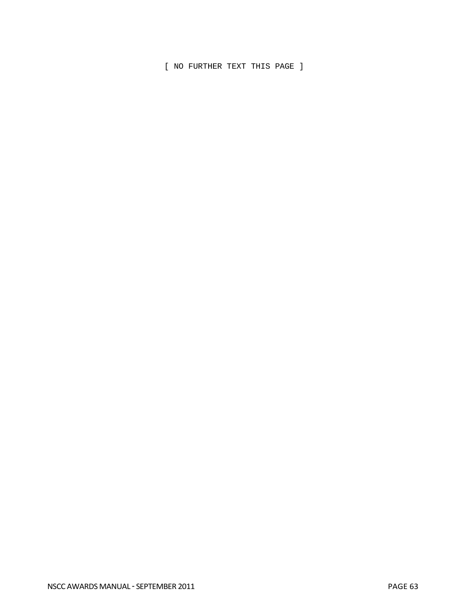[ NO FURTHER TEXT THIS PAGE ]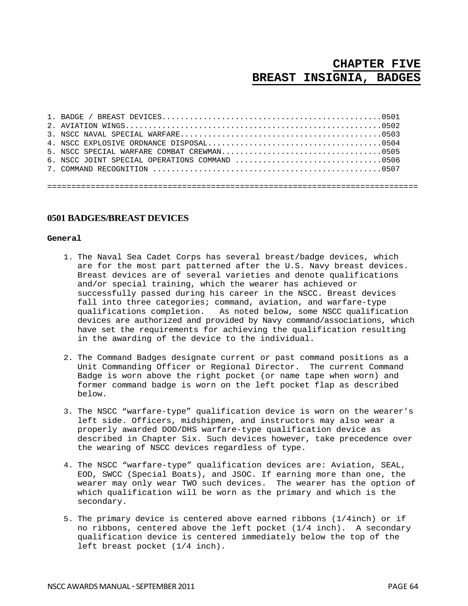# **CHAPTER FIVE BREAST INSIGNIA, BADGES**

| 5. NSCC SPECIAL WARFARE COMBAT CREWMAN0505    |
|-----------------------------------------------|
| 6. NSCC JOINT SPECIAL OPERATIONS COMMAND 0506 |
|                                               |
|                                               |
|                                               |

#### **0501 BADGES/BREAST DEVICES**

#### **General**

- 1. The Naval Sea Cadet Corps has several breast/badge devices, which are for the most part patterned after the U.S. Navy breast devices. Breast devices are of several varieties and denote qualifications and/or special training, which the wearer has achieved or successfully passed during his career in the NSCC. Breast devices fall into three categories; command, aviation, and warfare-type qualifications completion. As noted below, some NSCC qualification devices are authorized and provided by Navy command/associations, which have set the requirements for achieving the qualification resulting in the awarding of the device to the individual.
- 2. The Command Badges designate current or past command positions as a Unit Commanding Officer or Regional Director. The current Command Badge is worn above the right pocket (or name tape when worn) and former command badge is worn on the left pocket flap as described below.
- 3. The NSCC "warfare-type" qualification device is worn on the wearer's left side. Officers, midshipmen, and instructors may also wear a properly awarded DOD/DHS warfare-type qualification device as described in Chapter Six. Such devices however, take precedence over the wearing of NSCC devices regardless of type.
- 4. The NSCC "warfare-type" qualification devices are: Aviation, SEAL, EOD, SWCC (Special Boats), and JSOC. If earning more than one, the wearer may only wear TWO such devices. The wearer has the option of which qualification will be worn as the primary and which is the secondary.
- 5. The primary device is centered above earned ribbons (1/4inch) or if no ribbons, centered above the left pocket (1/4 inch). A secondary qualification device is centered immediately below the top of the left breast pocket (1/4 inch).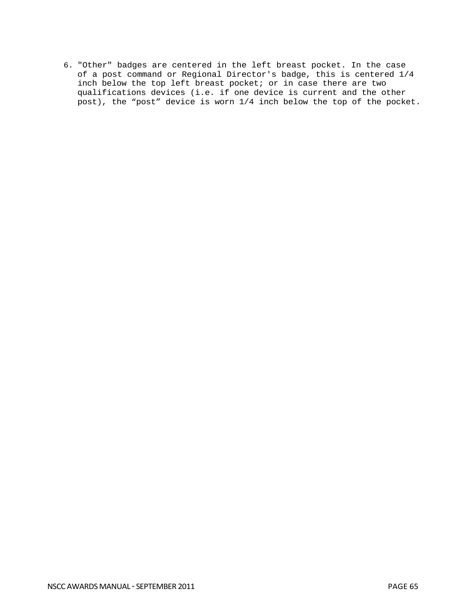6. "Other" badges are centered in the left breast pocket. In the case of a post command or Regional Director's badge, this is centered 1/4 inch below the top left breast pocket; or in case there are two qualifications devices (i.e. if one device is current and the other post), the "post" device is worn 1/4 inch below the top of the pocket.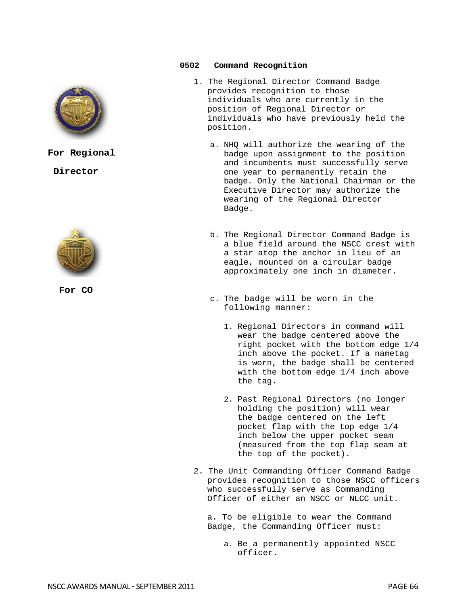

**For Regional** 

**Director**



 **For CO**

#### **0502 Command Recognition**

- 1. The Regional Director Command Badge provides recognition to those individuals who are currently in the position of Regional Director or individuals who have previously held the position.
	- a. NHQ will authorize the wearing of the badge upon assignment to the position and incumbents must successfully serve one year to permanently retain the badge. Only the National Chairman or the Executive Director may authorize the wearing of the Regional Director Badge.
	- b. The Regional Director Command Badge is a blue field around the NSCC crest with a star atop the anchor in lieu of an eagle, mounted on a circular badge approximately one inch in diameter.
	- c. The badge will be worn in the following manner:
		- 1. Regional Directors in command will wear the badge centered above the right pocket with the bottom edge 1/4 inch above the pocket. If a nametag is worn, the badge shall be centered with the bottom edge 1/4 inch above the tag.
		- 2. Past Regional Directors (no longer holding the position) will wear the badge centered on the left pocket flap with the top edge 1/4 inch below the upper pocket seam (measured from the top flap seam at the top of the pocket).
- 2. The Unit Commanding Officer Command Badge provides recognition to those NSCC officers who successfully serve as Commanding Officer of either an NSCC or NLCC unit.

a. To be eligible to wear the Command Badge, the Commanding Officer must:

a. Be a permanently appointed NSCC officer.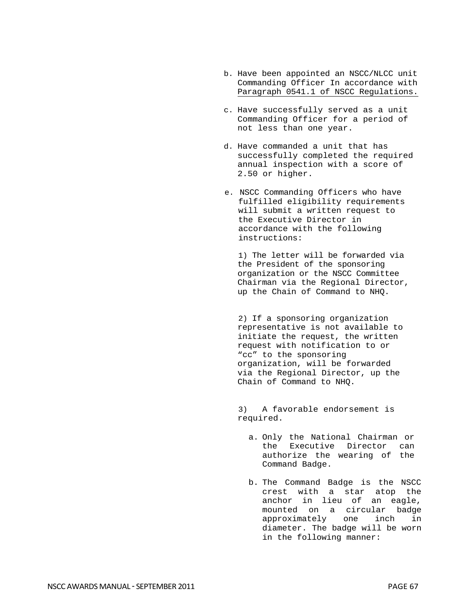- b. Have been appointed an NSCC/NLCC unit Commanding Officer In accordance with Paragraph 0541.1 of NSCC Regulations.
- c. Have successfully served as a unit Commanding Officer for a period of not less than one year.
- d. Have commanded a unit that has successfully completed the required annual inspection with a score of 2.50 or higher.
- e. NSCC Commanding Officers who have fulfilled eligibility requirements will submit a written request to the Executive Director in accordance with the following instructions:

1) The letter will be forwarded via the President of the sponsoring organization or the NSCC Committee Chairman via the Regional Director, up the Chain of Command to NHQ.

2) If a sponsoring organization representative is not available to initiate the request, the written request with notification to or "cc" to the sponsoring organization, will be forwarded via the Regional Director, up the Chain of Command to NHQ.

3) A favorable endorsement is required.

- a. Only the National Chairman or the Executive Director can authorize the wearing of the Command Badge.
- b. The Command Badge is the NSCC crest with a star atop the anchor in lieu of an eagle, mounted on a circular badge approximately one inch in diameter. The badge will be worn in the following manner: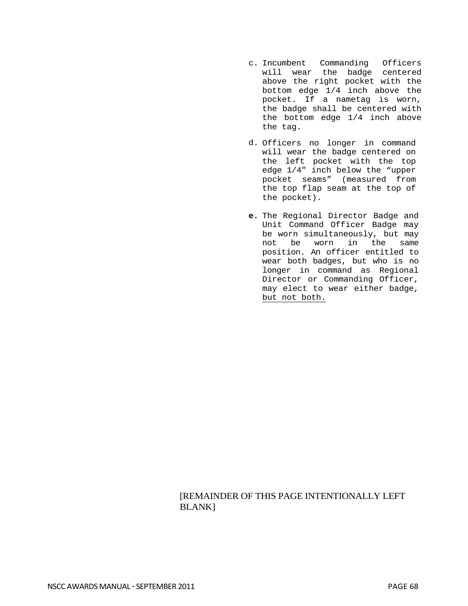- c. Incumbent Commanding Officers will wear the badge centered above the right pocket with the bottom edge 1/4 inch above the pocket. If a nametag is worn, the badge shall be centered with the bottom edge 1/4 inch above the tag.
- d. Officers no longer in command will wear the badge centered on the left pocket with the top edge 1/4" inch below the "upper pocket seams" (measured from the top flap seam at the top of the pocket).
- **e.** The Regional Director Badge and Unit Command Officer Badge may be worn simultaneously, but may<br>not be worn in the same not be worn in the position. An officer entitled to wear both badges, but who is no longer in command as Regional Director or Commanding Officer, may elect to wear either badge, but not both.

# [REMAINDER OF THIS PAGE INTENTIONALLY LEFT BLANK]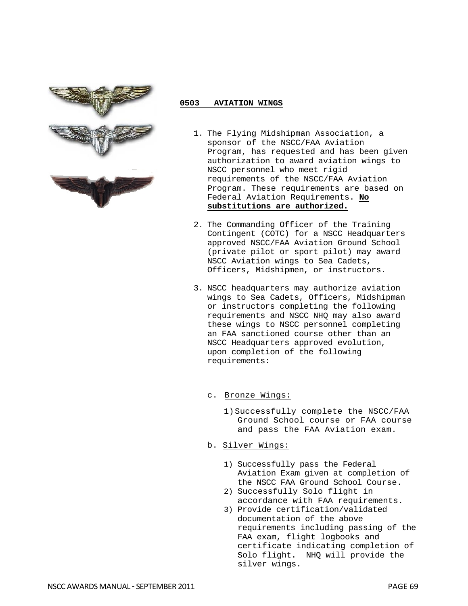

- 1. The Flying Midshipman Association, a sponsor of the NSCC/FAA Aviation Program, has requested and has been given authorization to award aviation wings to NSCC personnel who meet rigid requirements of the NSCC/FAA Aviation Program. These requirements are based on Federal Aviation Requirements. **No substitutions are authorized.**
- 2. The Commanding Officer of the Training Contingent (COTC) for a NSCC Headquarters approved NSCC/FAA Aviation Ground School (private pilot or sport pilot) may award NSCC Aviation wings to Sea Cadets, Officers, Midshipmen, or instructors.
- 3. NSCC headquarters may authorize aviation wings to Sea Cadets, Officers, Midshipman or instructors completing the following requirements and NSCC NHQ may also award these wings to NSCC personnel completing an FAA sanctioned course other than an NSCC Headquarters approved evolution, upon completion of the following requirements:

#### c. Bronze Wings:

- 1)Successfully complete the NSCC/FAA Ground School course or FAA course and pass the FAA Aviation exam.
- b. Silver Wings:
	- 1) Successfully pass the Federal Aviation Exam given at completion of the NSCC FAA Ground School Course.
	- 2) Successfully Solo flight in accordance with FAA requirements.
	- 3) Provide certification/validated documentation of the above requirements including passing of the FAA exam, flight logbooks and certificate indicating completion of Solo flight. NHQ will provide the silver wings.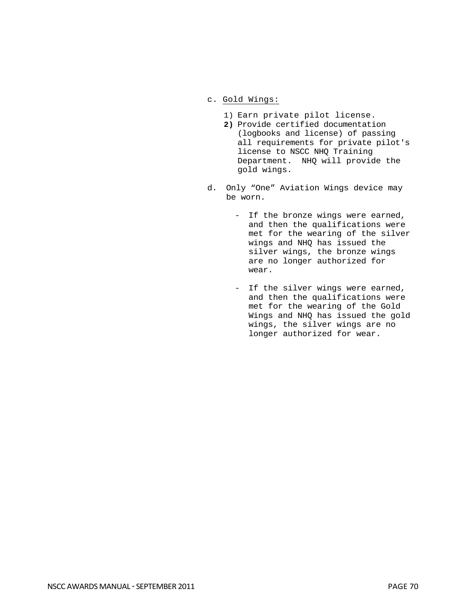#### c. Gold Wings:

- 1) Earn private pilot license.
- **2)** Provide certified documentation (logbooks and license) of passing all requirements for private pilot's license to NSCC NHQ Training Department. NHQ will provide the gold wings.
- d. Only "One" Aviation Wings device may be worn.
	- If the bronze wings were earned, and then the qualifications were met for the wearing of the silver wings and NHQ has issued the silver wings, the bronze wings are no longer authorized for wear.
	- If the silver wings were earned, and then the qualifications were met for the wearing of the Gold Wings and NHQ has issued the gold wings, the silver wings are no longer authorized for wear.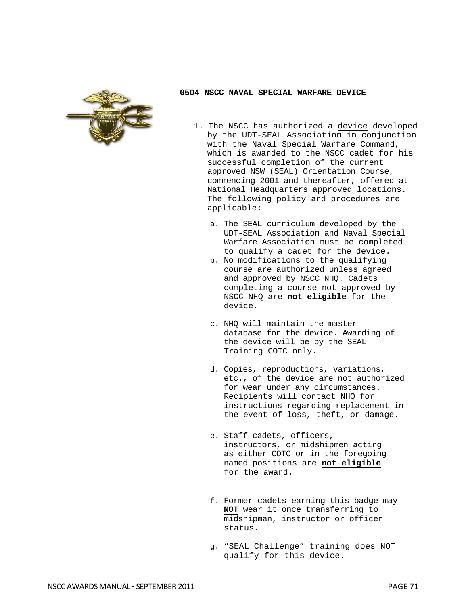

#### **0504 NSCC NAVAL SPECIAL WARFARE DEVICE**

- 1. The NSCC has authorized a device developed by the UDT-SEAL Association in conjunction with the Naval Special Warfare Command, which is awarded to the NSCC cadet for his successful completion of the current approved NSW (SEAL) Orientation Course, commencing 2001 and thereafter, offered at National Headquarters approved locations. The following policy and procedures are applicable:
	- a. The SEAL curriculum developed by the UDT-SEAL Association and Naval Special Warfare Association must be completed to qualify a cadet for the device.
	- b. No modifications to the qualifying course are authorized unless agreed and approved by NSCC NHQ. Cadets completing a course not approved by NSCC NHQ are **not eligible** for the device.
	- c. NHQ will maintain the master database for the device. Awarding of the device will be by the SEAL Training COTC only.
	- d. Copies, reproductions, variations, etc., of the device are not authorized for wear under any circumstances. Recipients will contact NHQ for instructions regarding replacement in the event of loss, theft, or damage.
	- e. Staff cadets, officers, instructors, or midshipmen acting as either COTC or in the foregoing named positions are **not eligible** for the award.
	- f. Former cadets earning this badge may **NOT** wear it once transferring to midshipman, instructor or officer status.
	- g. "SEAL Challenge" training does NOT qualify for this device.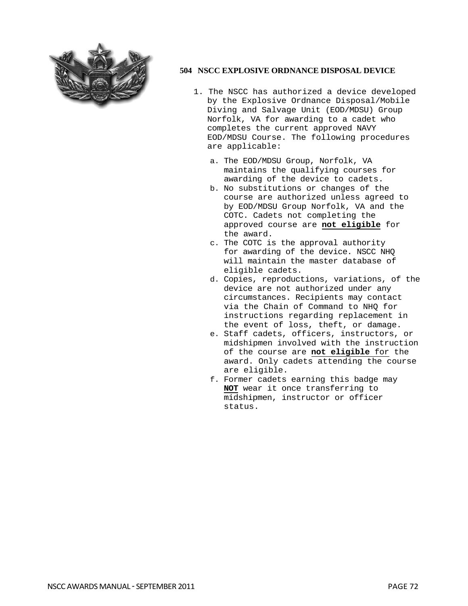

### **504 NSCC EXPLOSIVE ORDNANCE DISPOSAL DEVICE**

- 1. The NSCC has authorized a device developed by the Explosive Ordnance Disposal/Mobile Diving and Salvage Unit (EOD/MDSU) Group Norfolk, VA for awarding to a cadet who completes the current approved NAVY EOD/MDSU Course. The following procedures are applicable:
	- a. The EOD/MDSU Group, Norfolk, VA maintains the qualifying courses for awarding of the device to cadets.
	- b. No substitutions or changes of the course are authorized unless agreed to by EOD/MDSU Group Norfolk, VA and the COTC. Cadets not completing the approved course are **not eligible** for the award.
	- c. The COTC is the approval authority for awarding of the device. NSCC NHQ will maintain the master database of eligible cadets.
	- d. Copies, reproductions, variations, of the device are not authorized under any circumstances. Recipients may contact via the Chain of Command to NHQ for instructions regarding replacement in the event of loss, theft, or damage.
	- e. Staff cadets, officers, instructors, or midshipmen involved with the instruction of the course are **not eligible** for the award. Only cadets attending the course are eligible.
	- f. Former cadets earning this badge may **NOT** wear it once transferring to midshipmen, instructor or officer status.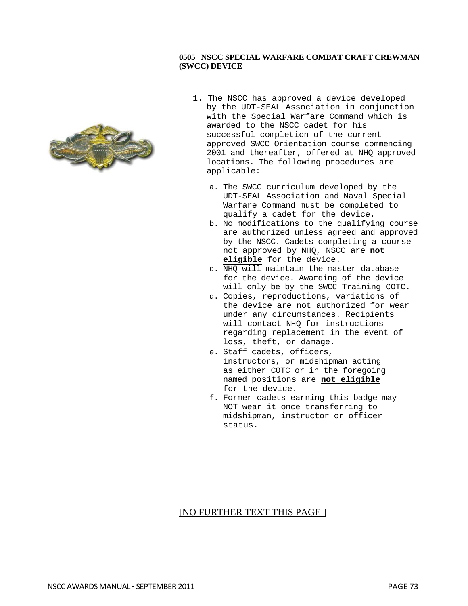#### **0505 NSCC SPECIAL WARFARE COMBAT CRAFT CREWMAN (SWCC) DEVICE**



- 1. The NSCC has approved a device developed by the UDT-SEAL Association in conjunction with the Special Warfare Command which is awarded to the NSCC cadet for his successful completion of the current approved SWCC Orientation course commencing 2001 and thereafter, offered at NHQ approved locations. The following procedures are applicable:
	- a. The SWCC curriculum developed by the UDT-SEAL Association and Naval Special Warfare Command must be completed to qualify a cadet for the device.
	- b. No modifications to the qualifying course are authorized unless agreed and approved by the NSCC. Cadets completing a course not approved by NHQ, NSCC are **not eligible** for the device.
	- c. NHQ will maintain the master database for the device. Awarding of the device will only be by the SWCC Training COTC.
	- d. Copies, reproductions, variations of the device are not authorized for wear under any circumstances. Recipients will contact NHQ for instructions regarding replacement in the event of loss, theft, or damage.
	- e. Staff cadets, officers, instructors, or midshipman acting as either COTC or in the foregoing named positions are **not eligible** for the device.
	- f. Former cadets earning this badge may NOT wear it once transferring to midshipman, instructor or officer status.

# [NO FURTHER TEXT THIS PAGE ]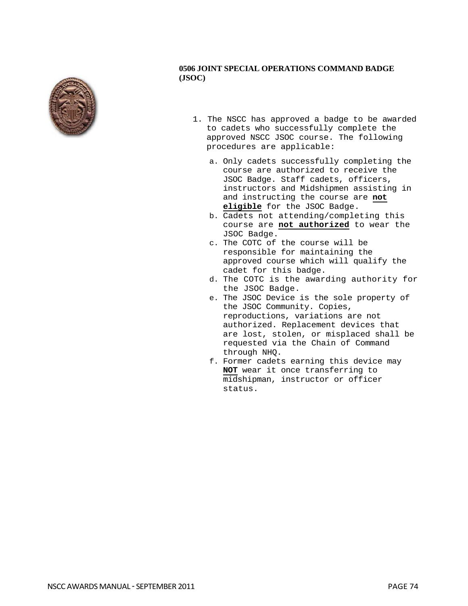

### **0506 JOINT SPECIAL OPERATIONS COMMAND BADGE (JSOC)**

- 1. The NSCC has approved a badge to be awarded to cadets who successfully complete the approved NSCC JSOC course. The following procedures are applicable:
	- a. Only cadets successfully completing the course are authorized to receive the JSOC Badge. Staff cadets, officers, instructors and Midshipmen assisting in and instructing the course are **not eligible** for the JSOC Badge.
	- b. Cadets not attending/completing this course are **not authorized** to wear the JSOC Badge.
	- c. The COTC of the course will be responsible for maintaining the approved course which will qualify the cadet for this badge.
	- d. The COTC is the awarding authority for the JSOC Badge.
	- e. The JSOC Device is the sole property of the JSOC Community. Copies, reproductions, variations are not authorized. Replacement devices that are lost, stolen, or misplaced shall be requested via the Chain of Command through NHQ.
	- f. Former cadets earning this device may **NOT** wear it once transferring to midshipman, instructor or officer status.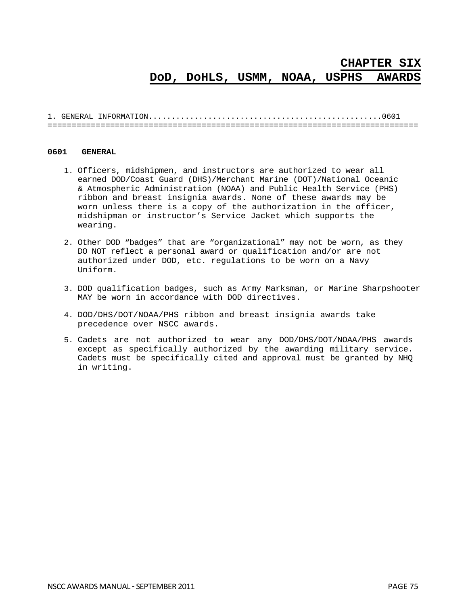# **CHAPTER SIX DoD, DoHLS, USMM, NOAA, USPHS AWARDS**

1. GENERAL INFORMATION...................................................0601 =============================================================================

#### **0601 GENERAL**

- 1. Officers, midshipmen, and instructors are authorized to wear all earned DOD/Coast Guard (DHS)/Merchant Marine (DOT)/National Oceanic & Atmospheric Administration (NOAA) and Public Health Service (PHS) ribbon and breast insignia awards. None of these awards may be worn unless there is a copy of the authorization in the officer, midshipman or instructor's Service Jacket which supports the wearing.
- 2. Other DOD "badges" that are "organizational" may not be worn, as they DO NOT reflect a personal award or qualification and/or are not authorized under DOD, etc. regulations to be worn on a Navy Uniform.
- 3. DOD qualification badges, such as Army Marksman, or Marine Sharpshooter MAY be worn in accordance with DOD directives.
- 4. DOD/DHS/DOT/NOAA/PHS ribbon and breast insignia awards take precedence over NSCC awards.
- 5. Cadets are not authorized to wear any DOD/DHS/DOT/NOAA/PHS awards except as specifically authorized by the awarding military service. Cadets must be specifically cited and approval must be granted by NHQ in writing.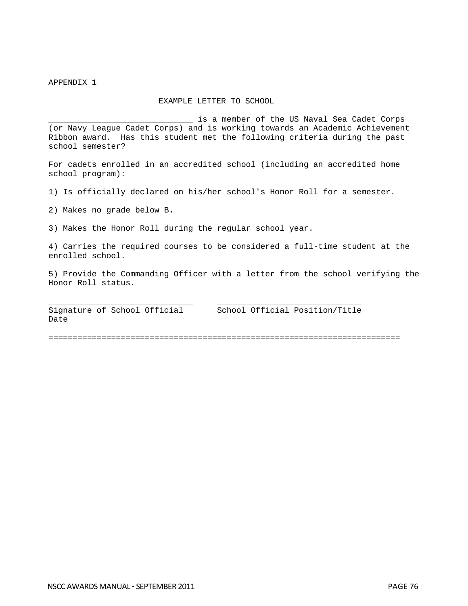#### APPENDIX 1

#### EXAMPLE LETTER TO SCHOOL

is a member of the US Naval Sea Cadet Corps (or Navy League Cadet Corps) and is working towards an Academic Achievement Ribbon award. Has this student met the following criteria during the past school semester?

For cadets enrolled in an accredited school (including an accredited home school program):

1) Is officially declared on his/her school's Honor Roll for a semester.

2) Makes no grade below B.

3) Makes the Honor Roll during the regular school year.

4) Carries the required courses to be considered a full-time student at the enrolled school.

5) Provide the Commanding Officer with a letter from the school verifying the Honor Roll status.

\_\_\_\_\_\_\_\_\_\_\_\_\_\_\_\_\_\_\_\_\_\_\_\_\_\_\_\_\_\_ \_\_\_\_\_\_\_\_\_\_\_\_\_\_\_\_\_\_\_\_\_\_\_\_\_\_\_\_\_\_ Signature of School Official School Official Position/Title Date

=========================================================================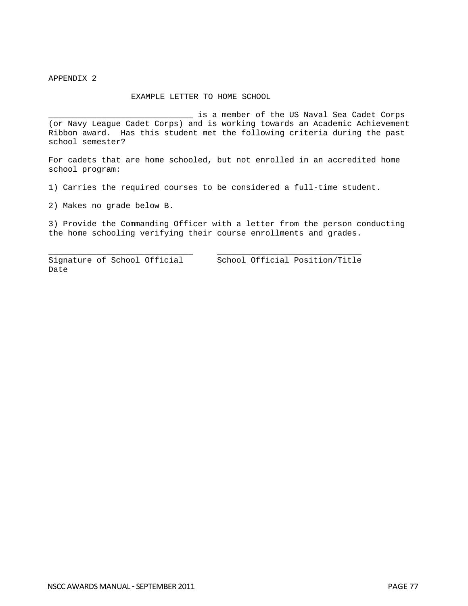#### APPENDIX 2

#### EXAMPLE LETTER TO HOME SCHOOL

\_\_\_\_\_\_\_\_\_\_\_\_\_\_\_\_\_\_\_\_\_\_\_\_\_\_\_\_\_\_ is a member of the US Naval Sea Cadet Corps (or Navy League Cadet Corps) and is working towards an Academic Achievement Ribbon award. Has this student met the following criteria during the past school semester?

For cadets that are home schooled, but not enrolled in an accredited home school program:

1) Carries the required courses to be considered a full-time student.

\_\_\_\_\_\_\_\_\_\_\_\_\_\_\_\_\_\_\_\_\_\_\_\_\_\_\_\_\_\_ \_\_\_\_\_\_\_\_\_\_\_\_\_\_\_\_\_\_\_\_\_\_\_\_\_\_\_\_\_\_

2) Makes no grade below B.

3) Provide the Commanding Officer with a letter from the person conducting the home schooling verifying their course enrollments and grades.

Signature of School Official School Official Position/Title Date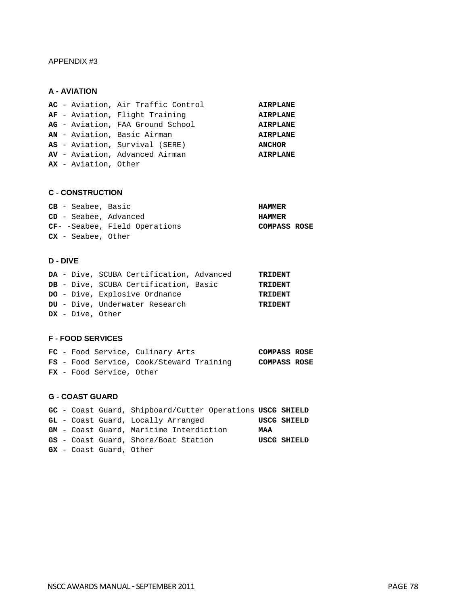## APPENDIX #3

## **A - AVIATION**

|  |                             | AC - Aviation, Air Traffic Control    | <b>AIRPLANE</b> |
|--|-----------------------------|---------------------------------------|-----------------|
|  |                             | AF - Aviation, Flight Training        | <b>AIRPLANE</b> |
|  |                             | AG - Aviation, FAA Ground School      | <b>AIRPLANE</b> |
|  |                             | <b>AN</b> - Aviation, Basic Airman    | <b>AIRPLANE</b> |
|  |                             | <b>AS</b> - Aviation, Survival (SERE) | <b>ANCHOR</b>   |
|  |                             | <b>AV</b> - Aviation, Advanced Airman | <b>AIRPLANE</b> |
|  | <b>AX</b> - Aviation, Other |                                       |                 |

## **C - CONSTRUCTION**

| $CB - Seabee. Basic$    |                                 | <b>HAMMER</b>       |  |
|-------------------------|---------------------------------|---------------------|--|
| $CD - Seabee, Advanced$ |                                 | <b>HAMMER</b>       |  |
|                         | $CF-$ -Seabee, Field Operations | <b>COMPASS ROSE</b> |  |
| $CX - Seabee. Other$    |                                 |                     |  |

# **D - DIVE**

|  |                    | DA - Dive, SCUBA Certification, Advanced | <b>TRIDENT</b> |
|--|--------------------|------------------------------------------|----------------|
|  |                    | DB - Dive, SCUBA Certification, Basic    | <b>TRIDENT</b> |
|  |                    | DO - Dive, Explosive Ordnance            | <b>TRIDENT</b> |
|  |                    | DU - Dive, Underwater Research           | TRIDENT        |
|  | $DX - Dive, Other$ |                                          |                |

## **F - FOOD SERVICES**

|  |                                 | <b>FC</b> - Food Service, Culinary Arts         | <b>COMPASS ROSE</b> |  |
|--|---------------------------------|-------------------------------------------------|---------------------|--|
|  |                                 | <b>FS</b> - Food Service, Cook/Steward Training | <b>COMPASS ROSE</b> |  |
|  | <b>FX</b> - Food Service, Other |                                                 |                     |  |

## **G - COAST GUARD**

|  |                                | GC - Coast Guard, Shipboard/Cutter Operations USCG SHIELD |     |             |
|--|--------------------------------|-----------------------------------------------------------|-----|-------------|
|  |                                | GL - Coast Guard, Locally Arranged                        |     | USCG SHIELD |
|  |                                | <b>GM</b> - Coast Guard, Maritime Interdiction            | MAA |             |
|  |                                | <b>GS</b> - Coast Guard, Shore/Boat Station               |     | USCG SHIELD |
|  | <b>GX</b> - Coast Guard, Other |                                                           |     |             |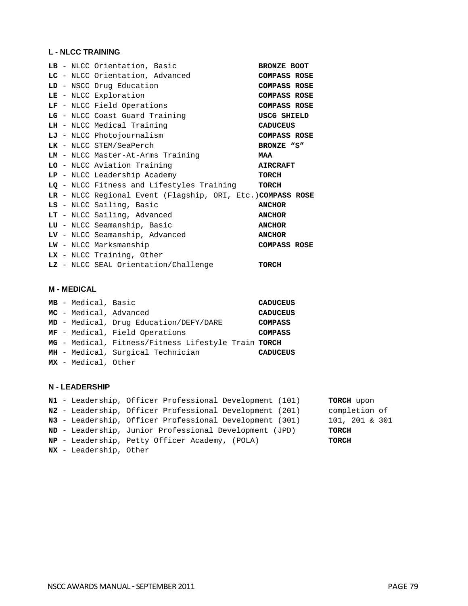# **L - NLCC TRAINING**

|  | LB - NLCC Orientation, Basic                                | <b>BRONZE BOOT</b>  |
|--|-------------------------------------------------------------|---------------------|
|  | LC - NLCC Orientation, Advanced                             | <b>COMPASS ROSE</b> |
|  | LD - NSCC Drug Education                                    | COMPASS ROSE        |
|  | LE - NLCC Exploration                                       | <b>COMPASS ROSE</b> |
|  | LF - NLCC Field Operations                                  | <b>COMPASS ROSE</b> |
|  | LG - NLCC Coast Guard Training                              | USCG SHIELD         |
|  | LH - NLCC Medical Training                                  | <b>CADUCEUS</b>     |
|  | LJ - NLCC Photojournalism                                   | <b>COMPASS ROSE</b> |
|  | LK - NLCC STEM/SeaPerch                                     | BRONZE "S"          |
|  | LM - NLCC Master-At-Arms Training                           | MAA                 |
|  | LO - NLCC Aviation Training                                 | <b>AIRCRAFT</b>     |
|  | LP - NLCC Leadership Academy                                | <b>TORCH</b>        |
|  | LQ - NLCC Fitness and Lifestyles Training                   | <b>TORCH</b>        |
|  | LR - NLCC Regional Event (Flagship, ORI, Etc.) COMPASS ROSE |                     |
|  | LS - NLCC Sailing, Basic                                    | <b>ANCHOR</b>       |
|  | LT - NLCC Sailing, Advanced                                 | <b>ANCHOR</b>       |
|  | LU - NLCC Seamanship, Basic                                 | <b>ANCHOR</b>       |
|  | LV - NLCC Seamanship, Advanced                              | <b>ANCHOR</b>       |
|  | LW - NLCC Marksmanship                                      | <b>COMPASS ROSE</b> |
|  | LX - NLCC Training, Other                                   |                     |
|  | LZ - NLCC SEAL Orientation/Challenge                        | <b>TORCH</b>        |

### **M - MEDICAL**

|  | MB - Medical, Basic    |                                                     | <b>CADUCEUS</b> |
|--|------------------------|-----------------------------------------------------|-----------------|
|  | MC - Medical, Advanced |                                                     | <b>CADUCEUS</b> |
|  |                        | MD - Medical, Drug Education/DEFY/DARE              | <b>COMPASS</b>  |
|  |                        | MF - Medical, Field Operations                      | <b>COMPASS</b>  |
|  |                        | MG - Medical, Fitness/Fitness Lifestyle Train TORCH |                 |
|  |                        | MH - Medical, Surgical Technician                   | <b>CADUCEUS</b> |
|  | MX - Medical, Other    |                                                     |                 |

#### **N - LEADERSHIP**

|  |                        | N1 - Leadership, Officer Professional Development (101) | <b>TORCH</b> upon |
|--|------------------------|---------------------------------------------------------|-------------------|
|  |                        | N2 - Leadership, Officer Professional Development (201) | completion        |
|  |                        | N3 - Leadership, Officer Professional Development (301) | 101, 201 &        |
|  |                        | ND - Leadership, Junior Professional Development (JPD)  | TORCH             |
|  |                        | NP - Leadership, Petty Officer Academy, (POLA)          | TORCH             |
|  | NX - Leadership, Other |                                                         |                   |

completion of **N3** 101, 201 & 301<br> **TORCH**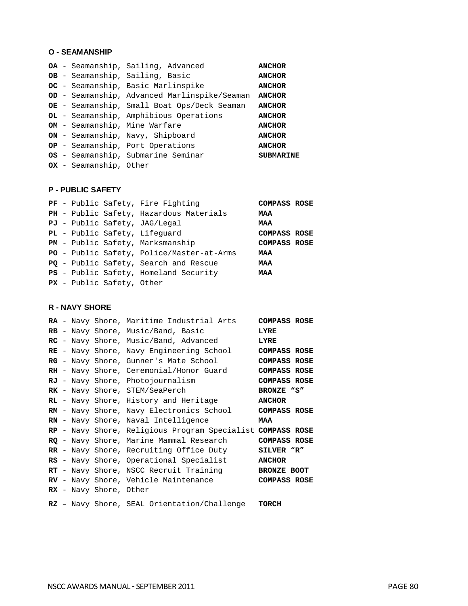# **O - SEAMANSHIP**

|  |                               | OA - Seamanship, Sailing, Advanced                 | <b>ANCHOR</b>    |
|--|-------------------------------|----------------------------------------------------|------------------|
|  |                               | OB - Seamanship, Sailing, Basic                    | <b>ANCHOR</b>    |
|  |                               | <b>OC</b> - Seamanship, Basic Marlinspike          | <b>ANCHOR</b>    |
|  |                               | OD - Seamanship, Advanced Marlinspike/Seaman       | <b>ANCHOR</b>    |
|  |                               | <b>OE</b> - Seamanship, Small Boat Ops/Deck Seaman | <b>ANCHOR</b>    |
|  |                               | OL - Seamanship, Amphibious Operations             | <b>ANCHOR</b>    |
|  |                               | <b>OM</b> - Seamanship, Mine Warfare               | <b>ANCHOR</b>    |
|  |                               | <b>ON</b> - Seamanship, Navy, Shipboard            | <b>ANCHOR</b>    |
|  |                               | OP - Seamanship, Port Operations                   | <b>ANCHOR</b>    |
|  |                               | <b>OS</b> - Seamanship, Submarine Seminar          | <b>SUBMARINE</b> |
|  | <b>OX</b> - Seamanship, Other |                                                    |                  |

#### **P - PUBLIC SAFETY**

|  |                             | PF - Public Safety, Fire Fighting                | COMPASS ROSE        |  |
|--|-----------------------------|--------------------------------------------------|---------------------|--|
|  |                             | <b>PH</b> - Public Safety, Hazardous Materials   | MAA                 |  |
|  |                             | PJ - Public Safety, JAG/Legal                    | MAA                 |  |
|  |                             | <b>PL</b> - Public Safety, Lifequard             | <b>COMPASS ROSE</b> |  |
|  |                             | PM - Public Safety, Marksmanship                 | COMPASS ROSE        |  |
|  |                             | <b>PO</b> - Public Safety, Police/Master-at-Arms | MAA                 |  |
|  |                             | <b>PQ</b> - Public Safety, Search and Rescue     | MAA                 |  |
|  |                             | <b>PS</b> - Public Safety, Homeland Security     | MAA                 |  |
|  | $PX$ - Public Safety, Other |                                                  |                     |  |

#### **R - NAVY SHORE**

|  |                               | <b>RA</b> - Navy Shore, Maritime Industrial Arts           | COMPASS ROSE        |
|--|-------------------------------|------------------------------------------------------------|---------------------|
|  |                               | RB - Navy Shore, Music/Band, Basic                         | LYRE                |
|  |                               | RC - Navy Shore, Music/Band, Advanced                      | LYRE                |
|  |                               | <b>RE</b> - Navy Shore, Navy Engineering School            | COMPASS ROSE        |
|  |                               | RG - Navy Shore, Gunner's Mate School                      | COMPASS ROSE        |
|  |                               | RH - Navy Shore, Ceremonial/Honor Guard                    | <b>COMPASS ROSE</b> |
|  |                               | <b>RJ</b> - Navy Shore, Photojournalism                    | <b>COMPASS ROSE</b> |
|  |                               | RK - Navy Shore, STEM/SeaPerch                             | BRONZE "S"          |
|  |                               | <b>RL</b> - Navy Shore, History and Heritage               | <b>ANCHOR</b>       |
|  |                               | <b>RM</b> - Navy Shore, Navy Electronics School            | COMPASS ROSE        |
|  |                               | RN - Navy Shore, Naval Intelligence                        | MAA                 |
|  |                               | RP - Navy Shore, Religious Program Specialist COMPASS ROSE |                     |
|  |                               | <b>RQ</b> - Navy Shore, Marine Mammal Research             | <b>COMPASS ROSE</b> |
|  |                               | <b>RR</b> - Navy Shore, Recruiting Office Duty             | SILVER "R"          |
|  |                               | <b>RS</b> - Navy Shore, Operational Specialist             | <b>ANCHOR</b>       |
|  |                               | <b>RT</b> - Navy Shore, NSCC Recruit Training              | <b>BRONZE BOOT</b>  |
|  |                               | <b>RV</b> - Navy Shore, Vehicle Maintenance                | <b>COMPASS ROSE</b> |
|  | <b>RX</b> - Navy Shore, Other |                                                            |                     |
|  |                               | RZ - Navy Shore, SEAL Orientation/Challenge                | <b>TORCH</b>        |